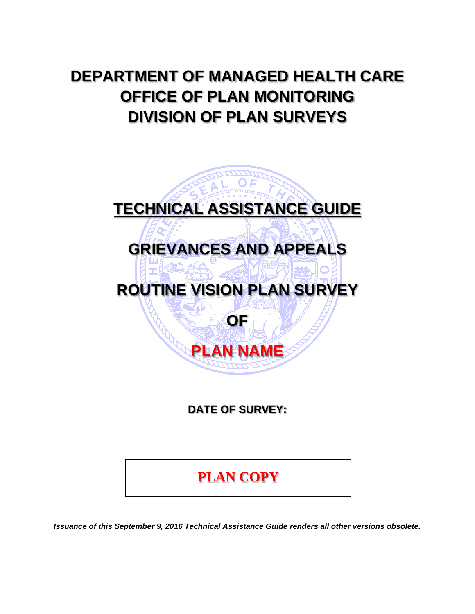# **DEPARTMENT OF MANAGED HEALTH CARE OFFICE OF PLAN MONITORING DIVISION OF PLAN SURVEYS**



**DATE OF SURVEY:** 

**PLAN COPY**

*Issuance of this September 9, 2016 Technical Assistance Guide renders all other versions obsolete.*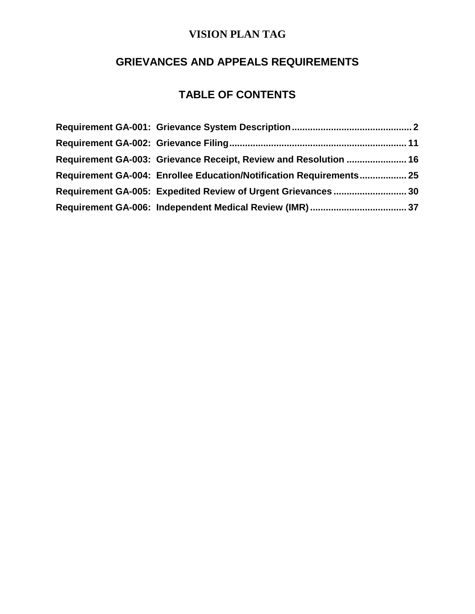# **GRIEVANCES AND APPEALS REQUIREMENTS**

# **TABLE OF CONTENTS**

| Requirement GA-003: Grievance Receipt, Review and Resolution  16    |  |
|---------------------------------------------------------------------|--|
| Requirement GA-004: Enrollee Education/Notification Requirements 25 |  |
| Requirement GA-005: Expedited Review of Urgent Grievances30         |  |
|                                                                     |  |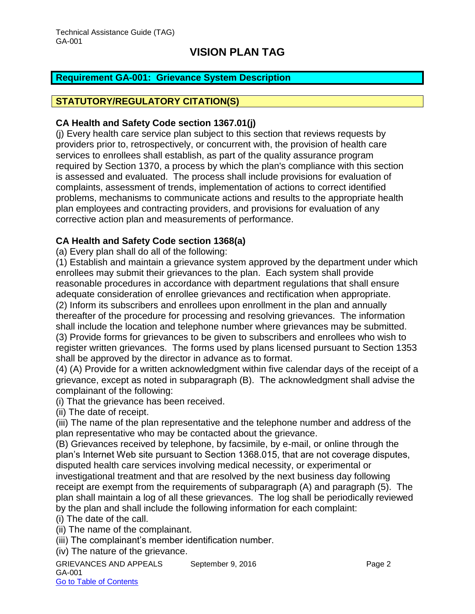### <span id="page-2-0"></span>**Requirement GA-001: Grievance System Description**

#### **STATUTORY/REGULATORY CITATION(S)**

#### **CA Health and Safety Code section 1367.01(j)**

(j) Every health care service plan subject to this section that reviews requests by providers prior to, retrospectively, or concurrent with, the provision of health care services to enrollees shall establish, as part of the quality assurance program required by Section 1370, a process by which the plan's compliance with this section is assessed and evaluated. The process shall include provisions for evaluation of complaints, assessment of trends, implementation of actions to correct identified problems, mechanisms to communicate actions and results to the appropriate health plan employees and contracting providers, and provisions for evaluation of any corrective action plan and measurements of performance.

#### **CA Health and Safety Code section 1368(a)**

(a) Every plan shall do all of the following:

(1) Establish and maintain a grievance system approved by the department under which enrollees may submit their grievances to the plan. Each system shall provide reasonable procedures in accordance with department regulations that shall ensure adequate consideration of enrollee grievances and rectification when appropriate. (2) Inform its subscribers and enrollees upon enrollment in the plan and annually

thereafter of the procedure for processing and resolving grievances. The information shall include the location and telephone number where grievances may be submitted. (3) Provide forms for grievances to be given to subscribers and enrollees who wish to register written grievances. The forms used by plans licensed pursuant to Section 1353

shall be approved by the director in advance as to format.

(4) (A) Provide for a written acknowledgment within five calendar days of the receipt of a grievance, except as noted in subparagraph (B). The acknowledgment shall advise the complainant of the following:

(i) That the grievance has been received.

(ii) The date of receipt.

(iii) The name of the plan representative and the telephone number and address of the plan representative who may be contacted about the grievance.

(B) Grievances received by telephone, by facsimile, by e-mail, or online through the plan's Internet Web site pursuant to Section 1368.015, that are not coverage disputes, disputed health care services involving medical necessity, or experimental or investigational treatment and that are resolved by the next business day following receipt are exempt from the requirements of subparagraph (A) and paragraph (5). The plan shall maintain a log of all these grievances. The log shall be periodically reviewed by the plan and shall include the following information for each complaint:

(i) The date of the call.

(ii) The name of the complainant.

(iii) The complainant's member identification number.

(iv) The nature of the grievance.

GRIEVANCES AND APPEALS September 9, 2016 **Page 2** GA-001 Go to Table of Contents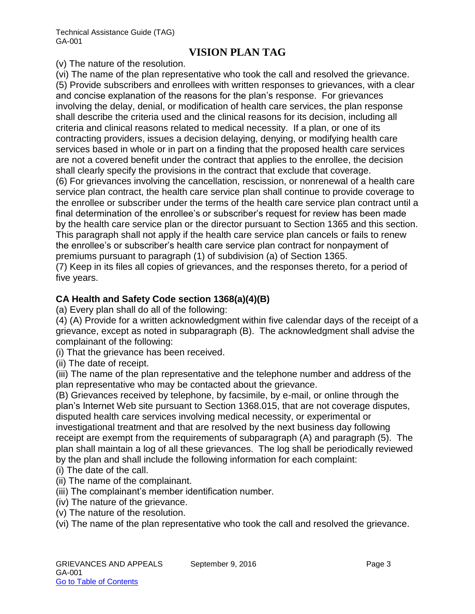(v) The nature of the resolution.

(vi) The name of the plan representative who took the call and resolved the grievance. (5) Provide subscribers and enrollees with written responses to grievances, with a clear and concise explanation of the reasons for the plan's response. For grievances involving the delay, denial, or modification of health care services, the plan response shall describe the criteria used and the clinical reasons for its decision, including all criteria and clinical reasons related to medical necessity. If a plan, or one of its contracting providers, issues a decision delaying, denying, or modifying health care services based in whole or in part on a finding that the proposed health care services are not a covered benefit under the contract that applies to the enrollee, the decision shall clearly specify the provisions in the contract that exclude that coverage. (6) For grievances involving the cancellation, rescission, or nonrenewal of a health care service plan contract, the health care service plan shall continue to provide coverage to the enrollee or subscriber under the terms of the health care service plan contract until a final determination of the enrollee's or subscriber's request for review has been made by the health care service plan or the director pursuant to Section 1365 and this section. This paragraph shall not apply if the health care service plan cancels or fails to renew the enrollee's or subscriber's health care service plan contract for nonpayment of premiums pursuant to paragraph (1) of subdivision (a) of Section 1365.

(7) Keep in its files all copies of grievances, and the responses thereto, for a period of five years.

# **CA Health and Safety Code section 1368(a)(4)(B)**

(a) Every plan shall do all of the following:

(4) (A) Provide for a written acknowledgment within five calendar days of the receipt of a grievance, except as noted in subparagraph (B). The acknowledgment shall advise the complainant of the following:

(i) That the grievance has been received.

(ii) The date of receipt.

(iii) The name of the plan representative and the telephone number and address of the plan representative who may be contacted about the grievance.

(B) Grievances received by telephone, by facsimile, by e-mail, or online through the plan's Internet Web site pursuant to Section 1368.015, that are not coverage disputes, disputed health care services involving medical necessity, or experimental or investigational treatment and that are resolved by the next business day following receipt are exempt from the requirements of subparagraph (A) and paragraph (5). The plan shall maintain a log of all these grievances. The log shall be periodically reviewed by the plan and shall include the following information for each complaint:

- (i) The date of the call.
- (ii) The name of the complainant.
- (iii) The complainant's member identification number.
- (iv) The nature of the grievance.
- (v) The nature of the resolution.

(vi) The name of the plan representative who took the call and resolved the grievance.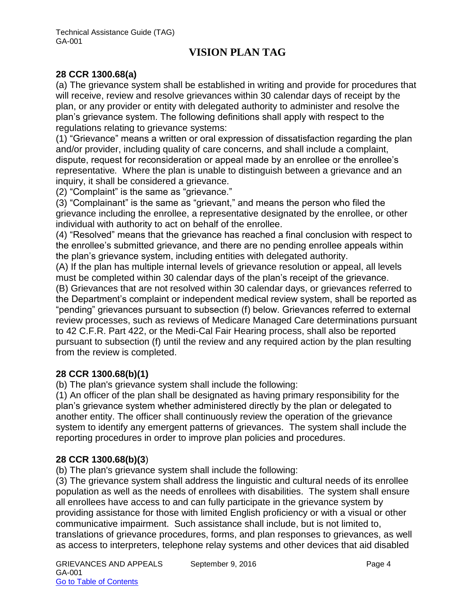### **28 CCR 1300.68(a)**

(a) The grievance system shall be established in writing and provide for procedures that will receive, review and resolve grievances within 30 calendar days of receipt by the plan, or any provider or entity with delegated authority to administer and resolve the plan's grievance system. The following definitions shall apply with respect to the regulations relating to grievance systems:

(1) "Grievance" means a written or oral expression of dissatisfaction regarding the plan and/or provider, including quality of care concerns, and shall include a complaint, dispute, request for reconsideration or appeal made by an enrollee or the enrollee's representative*.* Where the plan is unable to distinguish between a grievance and an inquiry, it shall be considered a grievance.

(2) "Complaint" is the same as "grievance."

(3) "Complainant" is the same as "grievant," and means the person who filed the grievance including the enrollee, a representative designated by the enrollee, or other individual with authority to act on behalf of the enrollee.

(4) "Resolved" means that the grievance has reached a final conclusion with respect to the enrollee's submitted grievance, and there are no pending enrollee appeals within the plan's grievance system, including entities with delegated authority.

(A) If the plan has multiple internal levels of grievance resolution or appeal, all levels must be completed within 30 calendar days of the plan's receipt of the grievance.

(B) Grievances that are not resolved within 30 calendar days, or grievances referred to the Department's complaint or independent medical review system, shall be reported as "pending" grievances pursuant to subsection (f) below. Grievances referred to external review processes, such as reviews of Medicare Managed Care determinations pursuant to 42 C.F.R. Part 422, or the Medi-Cal Fair Hearing process, shall also be reported pursuant to subsection (f) until the review and any required action by the plan resulting from the review is completed.

### **28 CCR 1300.68(b)(1)**

(b) The plan's grievance system shall include the following:

(1) An officer of the plan shall be designated as having primary responsibility for the plan's grievance system whether administered directly by the plan or delegated to another entity. The officer shall continuously review the operation of the grievance system to identify any emergent patterns of grievances. The system shall include the reporting procedures in order to improve plan policies and procedures.

### **28 CCR 1300.68(b)(3**)

(b) The plan's grievance system shall include the following:

(3) The grievance system shall address the linguistic and cultural needs of its enrollee population as well as the needs of enrollees with disabilities. The system shall ensure all enrollees have access to and can fully participate in the grievance system by providing assistance for those with limited English proficiency or with a visual or other communicative impairment. Such assistance shall include, but is not limited to, translations of grievance procedures, forms, and plan responses to grievances, as well as access to interpreters, telephone relay systems and other devices that aid disabled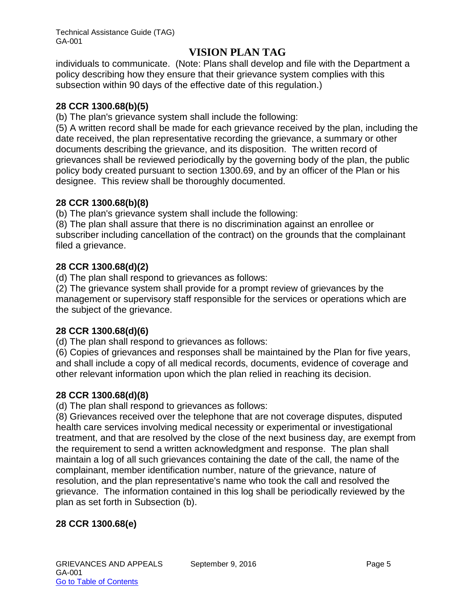individuals to communicate. (Note: Plans shall develop and file with the Department a policy describing how they ensure that their grievance system complies with this subsection within 90 days of the effective date of this regulation.)

## **28 CCR 1300.68(b)(5)**

(b) The plan's grievance system shall include the following:

(5) A written record shall be made for each grievance received by the plan, including the date received, the plan representative recording the grievance, a summary or other documents describing the grievance, and its disposition. The written record of grievances shall be reviewed periodically by the governing body of the plan, the public policy body created pursuant to section 1300.69, and by an officer of the Plan or his designee. This review shall be thoroughly documented.

# **28 CCR 1300.68(b)(8)**

(b) The plan's grievance system shall include the following:

(8) The plan shall assure that there is no discrimination against an enrollee or subscriber including cancellation of the contract) on the grounds that the complainant filed a grievance.

# **28 CCR 1300.68(d)(2)**

(d) The plan shall respond to grievances as follows:

(2) The grievance system shall provide for a prompt review of grievances by the management or supervisory staff responsible for the services or operations which are the subject of the grievance.

# **28 CCR 1300.68(d)(6)**

(d) The plan shall respond to grievances as follows:

(6) Copies of grievances and responses shall be maintained by the Plan for five years, and shall include a copy of all medical records, documents, evidence of coverage and other relevant information upon which the plan relied in reaching its decision.

# **28 CCR 1300.68(d)(8)**

(d) The plan shall respond to grievances as follows:

(8) Grievances received over the telephone that are not coverage disputes, disputed health care services involving medical necessity or experimental or investigational treatment, and that are resolved by the close of the next business day, are exempt from the requirement to send a written acknowledgment and response. The plan shall maintain a log of all such grievances containing the date of the call, the name of the complainant, member identification number, nature of the grievance, nature of resolution, and the plan representative's name who took the call and resolved the grievance. The information contained in this log shall be periodically reviewed by the plan as set forth in Subsection (b).

# **28 CCR 1300.68(e)**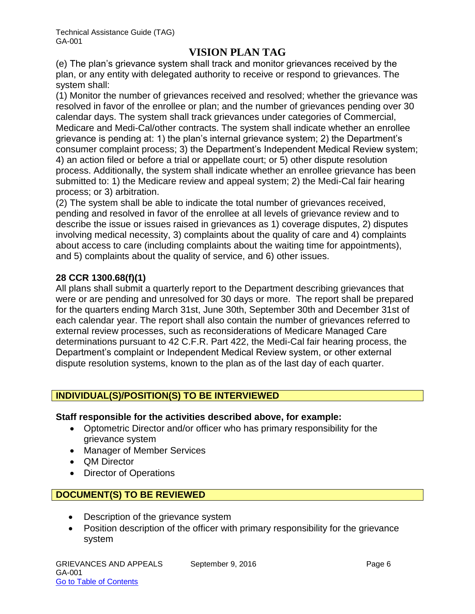(e) The plan's grievance system shall track and monitor grievances received by the plan, or any entity with delegated authority to receive or respond to grievances. The system shall:

(1) Monitor the number of grievances received and resolved; whether the grievance was resolved in favor of the enrollee or plan; and the number of grievances pending over 30 calendar days. The system shall track grievances under categories of Commercial, Medicare and Medi-Cal/other contracts. The system shall indicate whether an enrollee grievance is pending at: 1) the plan's internal grievance system; 2) the Department's consumer complaint process; 3) the Department's Independent Medical Review system; 4) an action filed or before a trial or appellate court; or 5) other dispute resolution process. Additionally, the system shall indicate whether an enrollee grievance has been submitted to: 1) the Medicare review and appeal system; 2) the Medi-Cal fair hearing process; or 3) arbitration.

(2) The system shall be able to indicate the total number of grievances received, pending and resolved in favor of the enrollee at all levels of grievance review and to describe the issue or issues raised in grievances as 1) coverage disputes, 2) disputes involving medical necessity, 3) complaints about the quality of care and 4) complaints about access to care (including complaints about the waiting time for appointments), and 5) complaints about the quality of service, and 6) other issues.

### **28 CCR 1300.68(f)(1)**

All plans shall submit a quarterly report to the Department describing grievances that were or are pending and unresolved for 30 days or more. The report shall be prepared for the quarters ending March 31st, June 30th, September 30th and December 31st of each calendar year. The report shall also contain the number of grievances referred to external review processes, such as reconsiderations of Medicare Managed Care determinations pursuant to 42 C.F.R. Part 422, the Medi-Cal fair hearing process, the Department's complaint or Independent Medical Review system, or other external dispute resolution systems, known to the plan as of the last day of each quarter.

### **INDIVIDUAL(S)/POSITION(S) TO BE INTERVIEWED**

#### **Staff responsible for the activities described above, for example:**

- Optometric Director and/or officer who has primary responsibility for the grievance system
- Manager of Member Services
- **QM Director**
- Director of Operations

# **DOCUMENT(S) TO BE REVIEWED**

- Description of the grievance system
- Position description of the officer with primary responsibility for the grievance system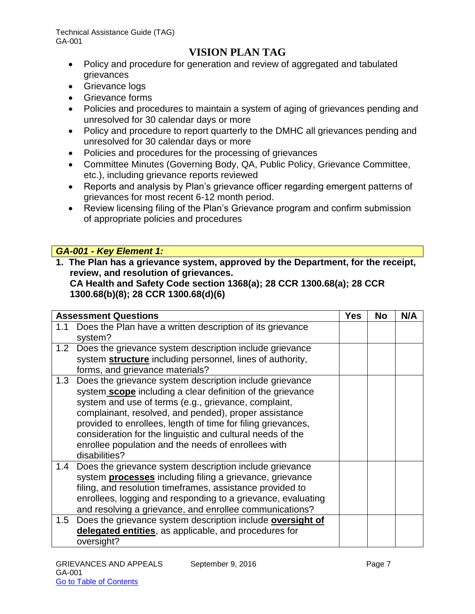- Policy and procedure for generation and review of aggregated and tabulated grievances
- Grievance logs
- Grievance forms
- Policies and procedures to maintain a system of aging of grievances pending and unresolved for 30 calendar days or more
- Policy and procedure to report quarterly to the DMHC all grievances pending and unresolved for 30 calendar days or more
- Policies and procedures for the processing of grievances
- Committee Minutes (Governing Body, QA, Public Policy, Grievance Committee, etc.), including grievance reports reviewed
- Reports and analysis by Plan's grievance officer regarding emergent patterns of grievances for most recent 6-12 month period.
- Review licensing filing of the Plan's Grievance program and confirm submission of appropriate policies and procedures

# *GA-001 - Key Element 1:*

**1. The Plan has a grievance system, approved by the Department, for the receipt, review, and resolution of grievances.** 

**CA Health and Safety Code section 1368(a); 28 CCR 1300.68(a); 28 CCR 1300.68(b)(8); 28 CCR 1300.68(d)(6)**

|     | <b>Assessment Questions</b>                                                                                                                                                                                                                                                                                                                                                                                                                  |  | <b>No</b> | N/A |
|-----|----------------------------------------------------------------------------------------------------------------------------------------------------------------------------------------------------------------------------------------------------------------------------------------------------------------------------------------------------------------------------------------------------------------------------------------------|--|-----------|-----|
| 1.1 | Does the Plan have a written description of its grievance<br>system?                                                                                                                                                                                                                                                                                                                                                                         |  |           |     |
|     | 1.2 Does the grievance system description include grievance<br>system structure including personnel, lines of authority,<br>forms, and grievance materials?                                                                                                                                                                                                                                                                                  |  |           |     |
| 1.3 | Does the grievance system description include grievance<br>system scope including a clear definition of the grievance<br>system and use of terms (e.g., grievance, complaint,<br>complainant, resolved, and pended), proper assistance<br>provided to enrollees, length of time for filing grievances,<br>consideration for the linguistic and cultural needs of the<br>enrollee population and the needs of enrollees with<br>disabilities? |  |           |     |
|     | 1.4 Does the grievance system description include grievance<br>system <b>processes</b> including filing a grievance, grievance<br>filing, and resolution timeframes, assistance provided to<br>enrollees, logging and responding to a grievance, evaluating<br>and resolving a grievance, and enrollee communications?                                                                                                                       |  |           |     |
| 1.5 | Does the grievance system description include oversight of<br>delegated entities, as applicable, and procedures for<br>oversight?                                                                                                                                                                                                                                                                                                            |  |           |     |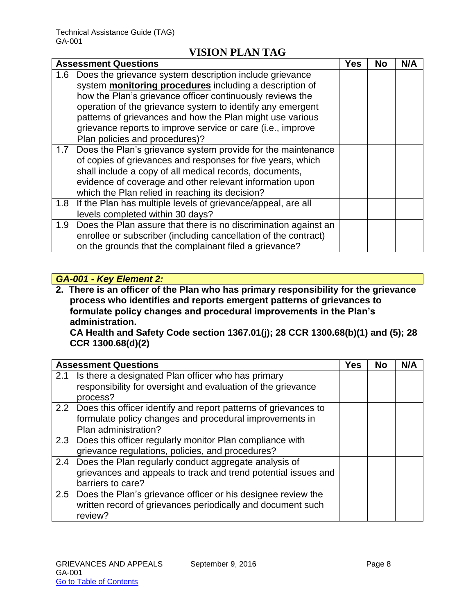|     | <b>Assessment Questions</b>                                         | Yes | No | N/A |
|-----|---------------------------------------------------------------------|-----|----|-----|
| 1.6 | Does the grievance system description include grievance             |     |    |     |
|     | system <b>monitoring procedures</b> including a description of      |     |    |     |
|     | how the Plan's grievance officer continuously reviews the           |     |    |     |
|     | operation of the grievance system to identify any emergent          |     |    |     |
|     | patterns of grievances and how the Plan might use various           |     |    |     |
|     | grievance reports to improve service or care (i.e., improve         |     |    |     |
|     | Plan policies and procedures)?                                      |     |    |     |
|     | 1.7 Does the Plan's grievance system provide for the maintenance    |     |    |     |
|     | of copies of grievances and responses for five years, which         |     |    |     |
|     | shall include a copy of all medical records, documents,             |     |    |     |
|     | evidence of coverage and other relevant information upon            |     |    |     |
|     | which the Plan relied in reaching its decision?                     |     |    |     |
|     | 1.8 If the Plan has multiple levels of grievance/appeal, are all    |     |    |     |
|     | levels completed within 30 days?                                    |     |    |     |
|     | 1.9 Does the Plan assure that there is no discrimination against an |     |    |     |
|     | enrollee or subscriber (including cancellation of the contract)     |     |    |     |
|     | on the grounds that the complainant filed a grievance?              |     |    |     |

# *GA-001 - Key Element 2:*

**2. There is an officer of the Plan who has primary responsibility for the grievance process who identifies and reports emergent patterns of grievances to formulate policy changes and procedural improvements in the Plan's administration.** 

**CA Health and Safety Code section 1367.01(j); 28 CCR 1300.68(b)(1) and (5); 28 CCR 1300.68(d)(2)**

|     | <b>Assessment Questions</b>                                                                                                                            | <b>Yes</b> | No | N/A |
|-----|--------------------------------------------------------------------------------------------------------------------------------------------------------|------------|----|-----|
| 2.1 | Is there a designated Plan officer who has primary<br>responsibility for oversight and evaluation of the grievance<br>process?                         |            |    |     |
|     | 2.2 Does this officer identify and report patterns of grievances to<br>formulate policy changes and procedural improvements in<br>Plan administration? |            |    |     |
|     | 2.3 Does this officer regularly monitor Plan compliance with<br>grievance regulations, policies, and procedures?                                       |            |    |     |
| 2.4 | Does the Plan regularly conduct aggregate analysis of<br>grievances and appeals to track and trend potential issues and<br>barriers to care?           |            |    |     |
|     | 2.5 Does the Plan's grievance officer or his designee review the<br>written record of grievances periodically and document such<br>review?             |            |    |     |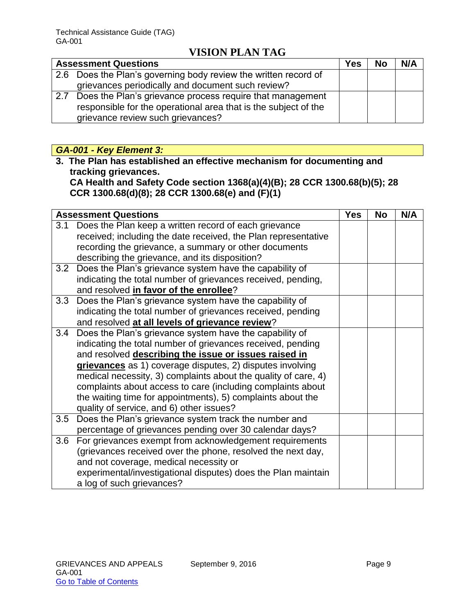|     | <b>Assessment Questions</b>                                     | <b>Yes</b> | <b>No</b> | N/A |
|-----|-----------------------------------------------------------------|------------|-----------|-----|
|     | 2.6 Does the Plan's governing body review the written record of |            |           |     |
|     | grievances periodically and document such review?               |            |           |     |
| 2.7 | Does the Plan's grievance process require that management       |            |           |     |
|     | responsible for the operational area that is the subject of the |            |           |     |
|     | grievance review such grievances?                               |            |           |     |

# *GA-001 - Key Element 3:*

**3. The Plan has established an effective mechanism for documenting and tracking grievances.** 

**CA Health and Safety Code section 1368(a)(4)(B); 28 CCR 1300.68(b)(5); 28 CCR 1300.68(d)(8); 28 CCR 1300.68(e) and (F)(1)**

|     | <b>Assessment Questions</b>                                    | <b>Yes</b> | <b>No</b> | N/A |
|-----|----------------------------------------------------------------|------------|-----------|-----|
| 3.1 | Does the Plan keep a written record of each grievance          |            |           |     |
|     | received; including the date received, the Plan representative |            |           |     |
|     | recording the grievance, a summary or other documents          |            |           |     |
|     | describing the grievance, and its disposition?                 |            |           |     |
|     | 3.2 Does the Plan's grievance system have the capability of    |            |           |     |
|     | indicating the total number of grievances received, pending,   |            |           |     |
|     | and resolved in favor of the enrollee?                         |            |           |     |
| 3.3 | Does the Plan's grievance system have the capability of        |            |           |     |
|     | indicating the total number of grievances received, pending    |            |           |     |
|     | and resolved at all levels of grievance review?                |            |           |     |
| 3.4 | Does the Plan's grievance system have the capability of        |            |           |     |
|     | indicating the total number of grievances received, pending    |            |           |     |
|     | and resolved describing the issue or issues raised in          |            |           |     |
|     | grievances as 1) coverage disputes, 2) disputes involving      |            |           |     |
|     | medical necessity, 3) complaints about the quality of care, 4) |            |           |     |
|     | complaints about access to care (including complaints about    |            |           |     |
|     | the waiting time for appointments), 5) complaints about the    |            |           |     |
|     | quality of service, and 6) other issues?                       |            |           |     |
| 3.5 | Does the Plan's grievance system track the number and          |            |           |     |
|     | percentage of grievances pending over 30 calendar days?        |            |           |     |
|     | 3.6 For grievances exempt from acknowledgement requirements    |            |           |     |
|     | (grievances received over the phone, resolved the next day,    |            |           |     |
|     | and not coverage, medical necessity or                         |            |           |     |
|     | experimental/investigational disputes) does the Plan maintain  |            |           |     |
|     | a log of such grievances?                                      |            |           |     |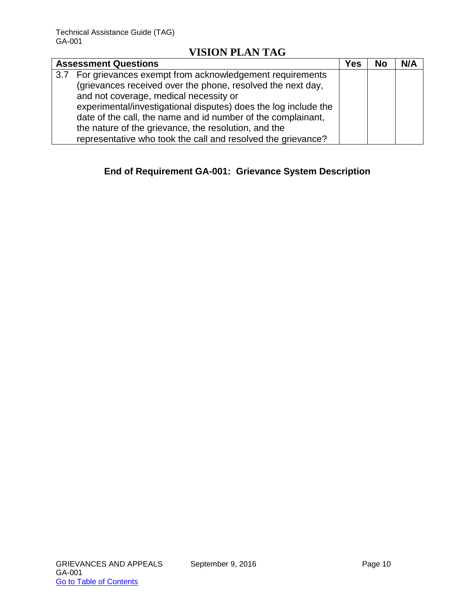| <b>Assessment Questions</b>                                     | Yes | <b>No</b> | N/A |
|-----------------------------------------------------------------|-----|-----------|-----|
| 3.7 For grievances exempt from acknowledgement requirements     |     |           |     |
| (grievances received over the phone, resolved the next day,     |     |           |     |
| and not coverage, medical necessity or                          |     |           |     |
| experimental/investigational disputes) does the log include the |     |           |     |
| date of the call, the name and id number of the complainant,    |     |           |     |
| the nature of the grievance, the resolution, and the            |     |           |     |
| representative who took the call and resolved the grievance?    |     |           |     |

# **End of Requirement GA-001: Grievance System Description**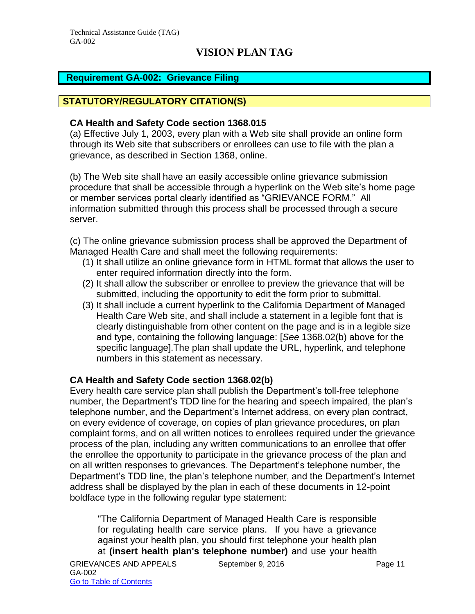### <span id="page-11-0"></span>**Requirement GA-002: Grievance Filing**

### **STATUTORY/REGULATORY CITATION(S)**

#### **CA Health and Safety Code section 1368.015**

(a) Effective July 1, 2003, every plan with a Web site shall provide an online form through its Web site that subscribers or enrollees can use to file with the plan a grievance, as described in Section 1368, online.

(b) The Web site shall have an easily accessible online grievance submission procedure that shall be accessible through a hyperlink on the Web site's home page or member services portal clearly identified as "GRIEVANCE FORM." All information submitted through this process shall be processed through a secure server.

(c) The online grievance submission process shall be approved the Department of Managed Health Care and shall meet the following requirements:

- (1) It shall utilize an online grievance form in HTML format that allows the user to enter required information directly into the form.
- (2) It shall allow the subscriber or enrollee to preview the grievance that will be submitted, including the opportunity to edit the form prior to submittal.
- (3) It shall include a current hyperlink to the California Department of Managed Health Care Web site, and shall include a statement in a legible font that is clearly distinguishable from other content on the page and is in a legible size and type, containing the following language: [*See* 1368.02(b) above for the specific language].The plan shall update the URL, hyperlink, and telephone numbers in this statement as necessary.

#### **CA Health and Safety Code section 1368.02(b)**

Every health care service plan shall publish the Department's toll-free telephone number, the Department's TDD line for the hearing and speech impaired, the plan's telephone number, and the Department's Internet address, on every plan contract, on every evidence of coverage, on copies of plan grievance procedures, on plan complaint forms, and on all written notices to enrollees required under the grievance process of the plan, including any written communications to an enrollee that offer the enrollee the opportunity to participate in the grievance process of the plan and on all written responses to grievances. The Department's telephone number, the Department's TDD line, the plan's telephone number, and the Department's Internet address shall be displayed by the plan in each of these documents in 12-point boldface type in the following regular type statement:

"The California Department of Managed Health Care is responsible for regulating health care service plans. If you have a grievance against your health plan, you should first telephone your health plan at **(insert health plan's telephone number)** and use your health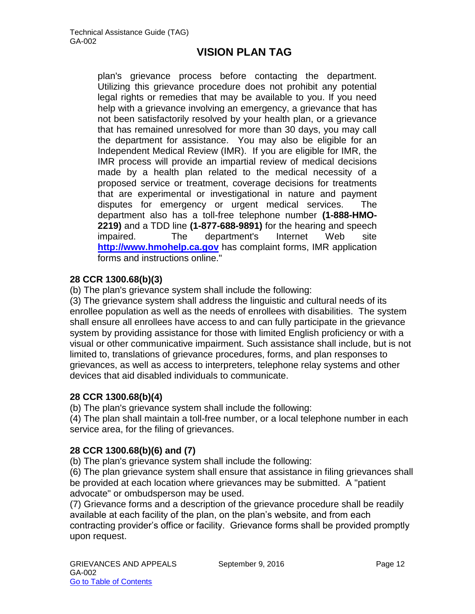plan's grievance process before contacting the department. Utilizing this grievance procedure does not prohibit any potential legal rights or remedies that may be available to you. If you need help with a grievance involving an emergency, a grievance that has not been satisfactorily resolved by your health plan, or a grievance that has remained unresolved for more than 30 days, you may call the department for assistance. You may also be eligible for an Independent Medical Review (IMR). If you are eligible for IMR, the IMR process will provide an impartial review of medical decisions made by a health plan related to the medical necessity of a proposed service or treatment, coverage decisions for treatments that are experimental or investigational in nature and payment disputes for emergency or urgent medical services. The department also has a toll-free telephone number **(1-888-HMO-2219)** and a TDD line **(1-877-688-9891)** for the hearing and speech impaired. The department's Internet Web site **[http://www.hmohelp.ca.gov](http://www.hmohelp.ca.gov/)** has complaint forms, IMR application forms and instructions online."

### **28 CCR 1300.68(b)(3)**

(b) The plan's grievance system shall include the following:

(3) The grievance system shall address the linguistic and cultural needs of its enrollee population as well as the needs of enrollees with disabilities. The system shall ensure all enrollees have access to and can fully participate in the grievance system by providing assistance for those with limited English proficiency or with a visual or other communicative impairment. Such assistance shall include, but is not limited to, translations of grievance procedures, forms, and plan responses to grievances, as well as access to interpreters, telephone relay systems and other devices that aid disabled individuals to communicate.

### **28 CCR 1300.68(b)(4)**

(b) The plan's grievance system shall include the following:

(4) The plan shall maintain a toll-free number, or a local telephone number in each service area, for the filing of grievances.

### **28 CCR 1300.68(b)(6) and (7)**

(b) The plan's grievance system shall include the following:

(6) The plan grievance system shall ensure that assistance in filing grievances shall be provided at each location where grievances may be submitted. A "patient advocate" or ombudsperson may be used.

(7) Grievance forms and a description of the grievance procedure shall be readily available at each facility of the plan, on the plan's website, and from each contracting provider's office or facility. Grievance forms shall be provided promptly upon request.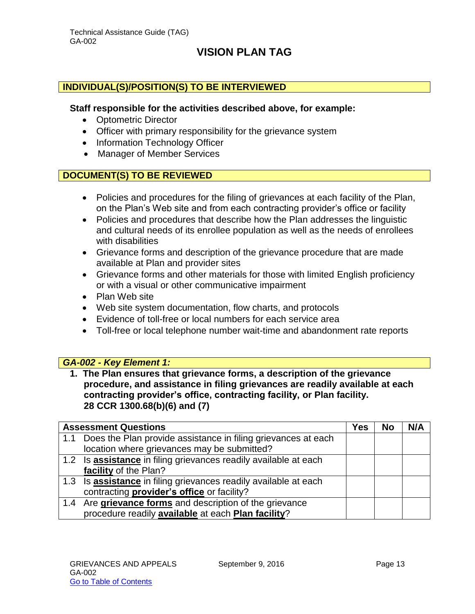#### **INDIVIDUAL(S)/POSITION(S) TO BE INTERVIEWED**

#### **Staff responsible for the activities described above, for example:**

- Optometric Director
- Officer with primary responsibility for the grievance system
- Information Technology Officer
- Manager of Member Services

#### **DOCUMENT(S) TO BE REVIEWED**

- Policies and procedures for the filing of grievances at each facility of the Plan, on the Plan's Web site and from each contracting provider's office or facility
- Policies and procedures that describe how the Plan addresses the linguistic and cultural needs of its enrollee population as well as the needs of enrollees with disabilities
- Grievance forms and description of the grievance procedure that are made available at Plan and provider sites
- Grievance forms and other materials for those with limited English proficiency or with a visual or other communicative impairment
- Plan Web site
- Web site system documentation, flow charts, and protocols
- Evidence of toll-free or local numbers for each service area
- Toll-free or local telephone number wait-time and abandonment rate reports

#### *GA-002 - Key Element 1:*

**1. The Plan ensures that grievance forms, a description of the grievance procedure, and assistance in filing grievances are readily available at each contracting provider's office, contracting facility, or Plan facility. 28 CCR 1300.68(b)(6) and (7)**

|     | <b>Assessment Questions</b>                                             | Yes | <b>No</b> | N/A |
|-----|-------------------------------------------------------------------------|-----|-----------|-----|
| 1.1 | Does the Plan provide assistance in filing grievances at each           |     |           |     |
|     | location where grievances may be submitted?                             |     |           |     |
|     | 1.2 Is assistance in filing grievances readily available at each        |     |           |     |
|     | facility of the Plan?                                                   |     |           |     |
|     | 1.3 Is <b>assistance</b> in filing grievances readily available at each |     |           |     |
|     | contracting <b>provider's office</b> or facility?                       |     |           |     |
|     | 1.4 Are grievance forms and description of the grievance                |     |           |     |
|     | procedure readily available at each Plan facility?                      |     |           |     |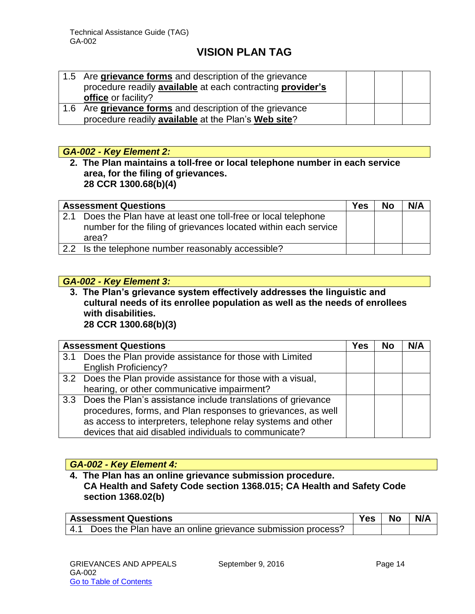| 1.5 Are grievance forms and description of the grievance   |  |  |
|------------------------------------------------------------|--|--|
| procedure readily available at each contracting provider's |  |  |
| office or facility?                                        |  |  |
| 1.6 Are grievance forms and description of the grievance   |  |  |
| procedure readily available at the Plan's Web site?        |  |  |

#### *GA-002 - Key Element 2:*

**2. The Plan maintains a toll-free or local telephone number in each service area, for the filing of grievances. 28 CCR 1300.68(b)(4)**

|     | <b>Assessment Questions</b>                                                                                                              | <b>Yes</b> | <b>No</b> | N/A |
|-----|------------------------------------------------------------------------------------------------------------------------------------------|------------|-----------|-----|
| 2.1 | Does the Plan have at least one toll-free or local telephone<br>number for the filing of grievances located within each service<br>area? |            |           |     |
|     | 2.2 Is the telephone number reasonably accessible?                                                                                       |            |           |     |

### *GA-002 - Key Element 3:*

**3. The Plan's grievance system effectively addresses the linguistic and cultural needs of its enrollee population as well as the needs of enrollees with disabilities. 28 CCR 1300.68(b)(3)**

|     | <b>Assessment Questions</b>                                      | Yes | No | N/A |
|-----|------------------------------------------------------------------|-----|----|-----|
| 3.1 | Does the Plan provide assistance for those with Limited          |     |    |     |
|     | <b>English Proficiency?</b>                                      |     |    |     |
|     | 3.2 Does the Plan provide assistance for those with a visual,    |     |    |     |
|     | hearing, or other communicative impairment?                      |     |    |     |
|     | 3.3 Does the Plan's assistance include translations of grievance |     |    |     |
|     | procedures, forms, and Plan responses to grievances, as well     |     |    |     |
|     | as access to interpreters, telephone relay systems and other     |     |    |     |
|     | devices that aid disabled individuals to communicate?            |     |    |     |

### *GA-002 - Key Element 4:*

**4. The Plan has an online grievance submission procedure. CA Health and Safety Code section 1368.015; CA Health and Safety Code section 1368.02(b)**

| <b>Assessment Questions</b>                                    | Yes i | No | N/A |
|----------------------------------------------------------------|-------|----|-----|
| 4.1 Does the Plan have an online grievance submission process? |       |    |     |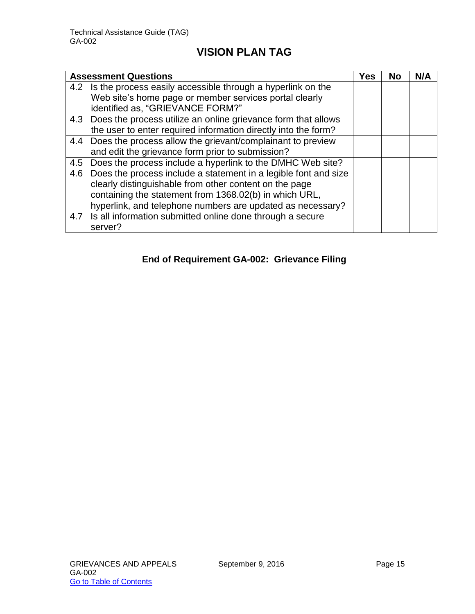|     | <b>Assessment Questions</b>                                       | Yes | <b>No</b> | N/A |
|-----|-------------------------------------------------------------------|-----|-----------|-----|
|     | 4.2 Is the process easily accessible through a hyperlink on the   |     |           |     |
|     | Web site's home page or member services portal clearly            |     |           |     |
|     | identified as, "GRIEVANCE FORM?"                                  |     |           |     |
|     | 4.3 Does the process utilize an online grievance form that allows |     |           |     |
|     | the user to enter required information directly into the form?    |     |           |     |
|     | 4.4 Does the process allow the grievant/complainant to preview    |     |           |     |
|     | and edit the grievance form prior to submission?                  |     |           |     |
| 4.5 | Does the process include a hyperlink to the DMHC Web site?        |     |           |     |
| 4.6 | Does the process include a statement in a legible font and size   |     |           |     |
|     | clearly distinguishable from other content on the page            |     |           |     |
|     | containing the statement from 1368.02(b) in which URL,            |     |           |     |
|     | hyperlink, and telephone numbers are updated as necessary?        |     |           |     |
|     | 4.7 Is all information submitted online done through a secure     |     |           |     |
|     | server?                                                           |     |           |     |

# **End of Requirement GA-002: Grievance Filing**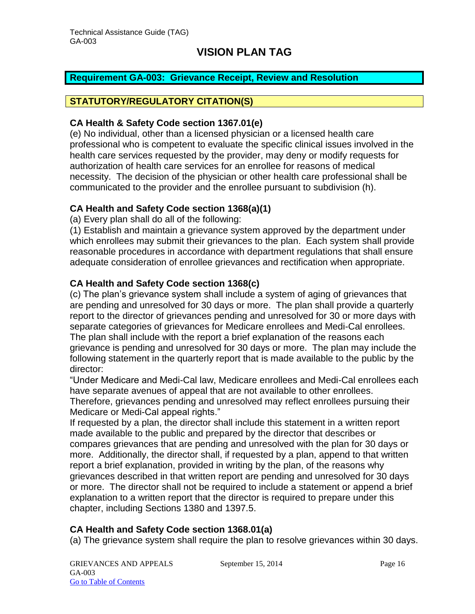### <span id="page-16-0"></span>**Requirement GA-003: Grievance Receipt, Review and Resolution**

### **STATUTORY/REGULATORY CITATION(S)**

#### **CA Health & Safety Code section 1367.01(e)**

(e) No individual, other than a licensed physician or a licensed health care professional who is competent to evaluate the specific clinical issues involved in the health care services requested by the provider, may deny or modify requests for authorization of health care services for an enrollee for reasons of medical necessity. The decision of the physician or other health care professional shall be communicated to the provider and the enrollee pursuant to subdivision (h).

### **CA Health and Safety Code section 1368(a)(1)**

(a) Every plan shall do all of the following:

(1) Establish and maintain a grievance system approved by the department under which enrollees may submit their grievances to the plan. Each system shall provide reasonable procedures in accordance with department regulations that shall ensure adequate consideration of enrollee grievances and rectification when appropriate.

### **CA Health and Safety Code section 1368(c)**

(c) The plan's grievance system shall include a system of aging of grievances that are pending and unresolved for 30 days or more. The plan shall provide a quarterly report to the director of grievances pending and unresolved for 30 or more days with separate categories of grievances for Medicare enrollees and Medi-Cal enrollees. The plan shall include with the report a brief explanation of the reasons each grievance is pending and unresolved for 30 days or more. The plan may include the following statement in the quarterly report that is made available to the public by the director:

"Under Medicare and Medi-Cal law, Medicare enrollees and Medi-Cal enrollees each have separate avenues of appeal that are not available to other enrollees.

Therefore, grievances pending and unresolved may reflect enrollees pursuing their Medicare or Medi-Cal appeal rights."

If requested by a plan, the director shall include this statement in a written report made available to the public and prepared by the director that describes or compares grievances that are pending and unresolved with the plan for 30 days or more. Additionally, the director shall, if requested by a plan, append to that written report a brief explanation, provided in writing by the plan, of the reasons why grievances described in that written report are pending and unresolved for 30 days or more. The director shall not be required to include a statement or append a brief explanation to a written report that the director is required to prepare under this chapter, including Sections 1380 and 1397.5.

#### **CA Health and Safety Code section 1368.01(a)**

(a) The grievance system shall require the plan to resolve grievances within 30 days.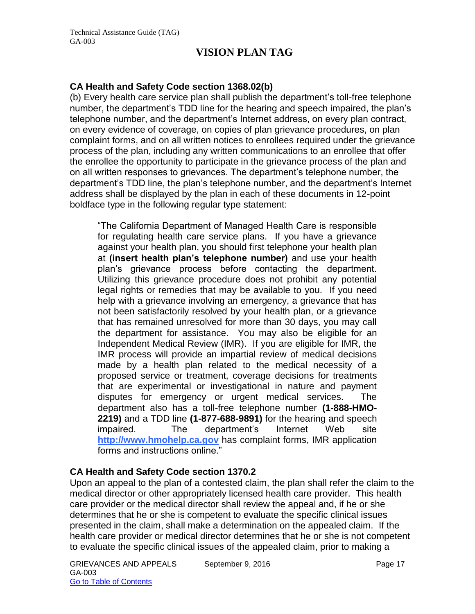#### **CA Health and Safety Code section 1368.02(b)**

(b) Every health care service plan shall publish the department's toll-free telephone number, the department's TDD line for the hearing and speech impaired, the plan's telephone number, and the department's Internet address, on every plan contract, on every evidence of coverage, on copies of plan grievance procedures, on plan complaint forms, and on all written notices to enrollees required under the grievance process of the plan, including any written communications to an enrollee that offer the enrollee the opportunity to participate in the grievance process of the plan and on all written responses to grievances. The department's telephone number, the department's TDD line, the plan's telephone number, and the department's Internet address shall be displayed by the plan in each of these documents in 12-point boldface type in the following regular type statement:

"The California Department of Managed Health Care is responsible for regulating health care service plans. If you have a grievance against your health plan, you should first telephone your health plan at **(insert health plan's telephone number)** and use your health plan's grievance process before contacting the department. Utilizing this grievance procedure does not prohibit any potential legal rights or remedies that may be available to you. If you need help with a grievance involving an emergency, a grievance that has not been satisfactorily resolved by your health plan, or a grievance that has remained unresolved for more than 30 days, you may call the department for assistance. You may also be eligible for an Independent Medical Review (IMR). If you are eligible for IMR, the IMR process will provide an impartial review of medical decisions made by a health plan related to the medical necessity of a proposed service or treatment, coverage decisions for treatments that are experimental or investigational in nature and payment disputes for emergency or urgent medical services. The department also has a toll-free telephone number **(1-888-HMO-2219)** and a TDD line **(1-877-688-9891)** for the hearing and speech impaired. The department's Internet Web site **[http://www.hmohelp.ca.gov](http://www.hmohelp.ca.gov/)** has complaint forms, IMR application forms and instructions online."

#### **CA Health and Safety Code section 1370.2**

Upon an appeal to the plan of a contested claim, the plan shall refer the claim to the medical director or other appropriately licensed health care provider. This health care provider or the medical director shall review the appeal and, if he or she determines that he or she is competent to evaluate the specific clinical issues presented in the claim, shall make a determination on the appealed claim. If the health care provider or medical director determines that he or she is not competent to evaluate the specific clinical issues of the appealed claim, prior to making a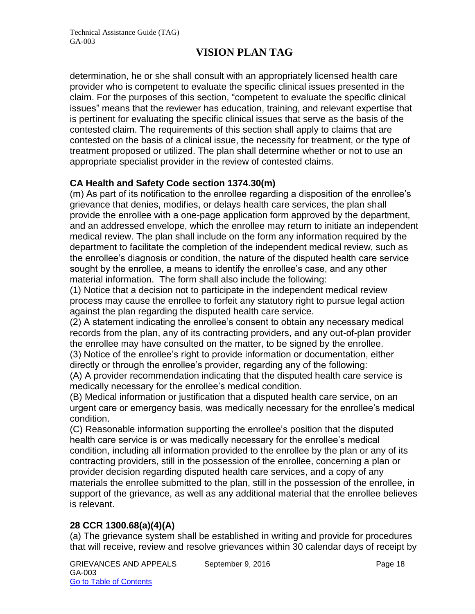determination, he or she shall consult with an appropriately licensed health care provider who is competent to evaluate the specific clinical issues presented in the claim. For the purposes of this section, "competent to evaluate the specific clinical issues" means that the reviewer has education, training, and relevant expertise that is pertinent for evaluating the specific clinical issues that serve as the basis of the contested claim. The requirements of this section shall apply to claims that are contested on the basis of a clinical issue, the necessity for treatment, or the type of treatment proposed or utilized. The plan shall determine whether or not to use an appropriate specialist provider in the review of contested claims.

### **CA Health and Safety Code section 1374.30(m)**

(m) As part of its notification to the enrollee regarding a disposition of the enrollee's grievance that denies, modifies, or delays health care services, the plan shall provide the enrollee with a one-page application form approved by the department, and an addressed envelope, which the enrollee may return to initiate an independent medical review. The plan shall include on the form any information required by the department to facilitate the completion of the independent medical review, such as the enrollee's diagnosis or condition, the nature of the disputed health care service sought by the enrollee, a means to identify the enrollee's case, and any other material information. The form shall also include the following:

(1) Notice that a decision not to participate in the independent medical review process may cause the enrollee to forfeit any statutory right to pursue legal action against the plan regarding the disputed health care service.

(2) A statement indicating the enrollee's consent to obtain any necessary medical records from the plan, any of its contracting providers, and any out-of-plan provider the enrollee may have consulted on the matter, to be signed by the enrollee. (3) Notice of the enrollee's right to provide information or documentation, either directly or through the enrollee's provider, regarding any of the following:

(A) A provider recommendation indicating that the disputed health care service is medically necessary for the enrollee's medical condition.

(B) Medical information or justification that a disputed health care service, on an urgent care or emergency basis, was medically necessary for the enrollee's medical condition.

(C) Reasonable information supporting the enrollee's position that the disputed health care service is or was medically necessary for the enrollee's medical condition, including all information provided to the enrollee by the plan or any of its contracting providers, still in the possession of the enrollee, concerning a plan or provider decision regarding disputed health care services, and a copy of any materials the enrollee submitted to the plan, still in the possession of the enrollee, in support of the grievance, as well as any additional material that the enrollee believes is relevant.

### **28 CCR 1300.68(a)(4)(A)**

(a) The grievance system shall be established in writing and provide for procedures that will receive, review and resolve grievances within 30 calendar days of receipt by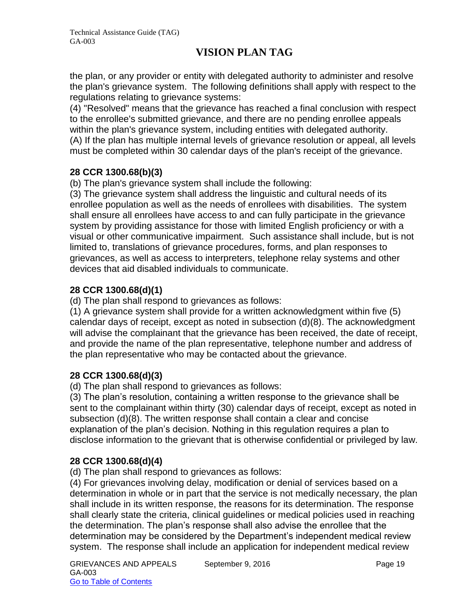the plan, or any provider or entity with delegated authority to administer and resolve the plan's grievance system. The following definitions shall apply with respect to the regulations relating to grievance systems:

(4) "Resolved" means that the grievance has reached a final conclusion with respect to the enrollee's submitted grievance, and there are no pending enrollee appeals within the plan's grievance system, including entities with delegated authority. (A) If the plan has multiple internal levels of grievance resolution or appeal, all levels must be completed within 30 calendar days of the plan's receipt of the grievance.

### **28 CCR 1300.68(b)(3)**

(b) The plan's grievance system shall include the following:

(3) The grievance system shall address the linguistic and cultural needs of its enrollee population as well as the needs of enrollees with disabilities. The system shall ensure all enrollees have access to and can fully participate in the grievance system by providing assistance for those with limited English proficiency or with a visual or other communicative impairment. Such assistance shall include, but is not limited to, translations of grievance procedures, forms, and plan responses to grievances, as well as access to interpreters, telephone relay systems and other devices that aid disabled individuals to communicate.

# **28 CCR 1300.68(d)(1)**

(d) The plan shall respond to grievances as follows:

(1) A grievance system shall provide for a written acknowledgment within five (5) calendar days of receipt, except as noted in subsection (d)(8). The acknowledgment will advise the complainant that the grievance has been received, the date of receipt, and provide the name of the plan representative, telephone number and address of the plan representative who may be contacted about the grievance.

### **28 CCR 1300.68(d)(3)**

(d) The plan shall respond to grievances as follows:

(3) The plan's resolution, containing a written response to the grievance shall be sent to the complainant within thirty (30) calendar days of receipt, except as noted in subsection (d)(8). The written response shall contain a clear and concise explanation of the plan's decision. Nothing in this regulation requires a plan to disclose information to the grievant that is otherwise confidential or privileged by law.

# **28 CCR 1300.68(d)(4)**

(d) The plan shall respond to grievances as follows:

(4) For grievances involving delay, modification or denial of services based on a determination in whole or in part that the service is not medically necessary, the plan shall include in its written response, the reasons for its determination. The response shall clearly state the criteria, clinical guidelines or medical policies used in reaching the determination. The plan's response shall also advise the enrollee that the determination may be considered by the Department's independent medical review system. The response shall include an application for independent medical review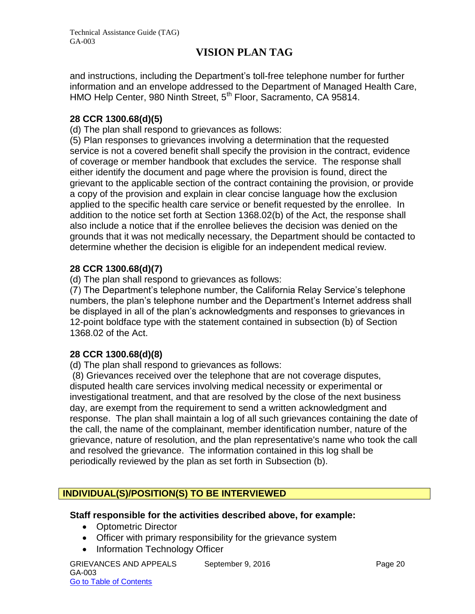and instructions, including the Department's toll-free telephone number for further information and an envelope addressed to the Department of Managed Health Care, HMO Help Center, 980 Ninth Street, 5<sup>th</sup> Floor, Sacramento, CA 95814.

### **28 CCR 1300.68(d)(5)**

(d) The plan shall respond to grievances as follows:

(5) Plan responses to grievances involving a determination that the requested service is not a covered benefit shall specify the provision in the contract, evidence of coverage or member handbook that excludes the service. The response shall either identify the document and page where the provision is found, direct the grievant to the applicable section of the contract containing the provision, or provide a copy of the provision and explain in clear concise language how the exclusion applied to the specific health care service or benefit requested by the enrollee. In addition to the notice set forth at Section 1368.02(b) of the Act, the response shall also include a notice that if the enrollee believes the decision was denied on the grounds that it was not medically necessary, the Department should be contacted to determine whether the decision is eligible for an independent medical review.

### **28 CCR 1300.68(d)(7)**

(d) The plan shall respond to grievances as follows:

(7) The Department's telephone number, the California Relay Service's telephone numbers, the plan's telephone number and the Department's Internet address shall be displayed in all of the plan's acknowledgments and responses to grievances in 12-point boldface type with the statement contained in subsection (b) of Section 1368.02 of the Act.

### **28 CCR 1300.68(d)(8)**

(d) The plan shall respond to grievances as follows:

(8) Grievances received over the telephone that are not coverage disputes, disputed health care services involving medical necessity or experimental or investigational treatment, and that are resolved by the close of the next business day, are exempt from the requirement to send a written acknowledgment and response. The plan shall maintain a log of all such grievances containing the date of the call, the name of the complainant, member identification number, nature of the grievance, nature of resolution, and the plan representative's name who took the call and resolved the grievance. The information contained in this log shall be periodically reviewed by the plan as set forth in Subsection (b).

### **INDIVIDUAL(S)/POSITION(S) TO BE INTERVIEWED**

#### **Staff responsible for the activities described above, for example:**

- Optometric Director
- Officer with primary responsibility for the grievance system
- Information Technology Officer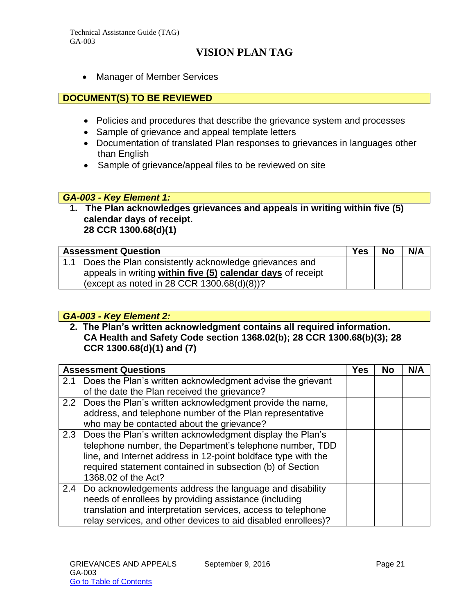Manager of Member Services

### **DOCUMENT(S) TO BE REVIEWED**

- Policies and procedures that describe the grievance system and processes
- Sample of grievance and appeal template letters
- Documentation of translated Plan responses to grievances in languages other than English
- Sample of grievance/appeal files to be reviewed on site

#### *GA-003 - Key Element 1:*

**1. The Plan acknowledges grievances and appeals in writing within five (5) calendar days of receipt. 28 CCR 1300.68(d)(1)**

| <b>Assessment Question</b>                                  | <b>Yes</b> | <b>No</b> | N/A |
|-------------------------------------------------------------|------------|-----------|-----|
| 1.1 Does the Plan consistently acknowledge grievances and   |            |           |     |
| appeals in writing within five (5) calendar days of receipt |            |           |     |
| (except as noted in 28 CCR 1300.68(d)(8))?                  |            |           |     |

### *GA-003 - Key Element 2:*

**2. The Plan's written acknowledgment contains all required information. CA Health and Safety Code section 1368.02(b); 28 CCR 1300.68(b)(3); 28 CCR 1300.68(d)(1) and (7)**

|     | <b>Assessment Questions</b>                                                                                                                                                                                                                                                    | Yes | <b>No</b> | N/A |
|-----|--------------------------------------------------------------------------------------------------------------------------------------------------------------------------------------------------------------------------------------------------------------------------------|-----|-----------|-----|
| 2.1 | Does the Plan's written acknowledgment advise the grievant                                                                                                                                                                                                                     |     |           |     |
|     | of the date the Plan received the grievance?                                                                                                                                                                                                                                   |     |           |     |
|     | 2.2 Does the Plan's written acknowledgment provide the name,                                                                                                                                                                                                                   |     |           |     |
|     | address, and telephone number of the Plan representative                                                                                                                                                                                                                       |     |           |     |
|     | who may be contacted about the grievance?                                                                                                                                                                                                                                      |     |           |     |
|     | 2.3 Does the Plan's written acknowledgment display the Plan's<br>telephone number, the Department's telephone number, TDD<br>line, and Internet address in 12-point boldface type with the<br>required statement contained in subsection (b) of Section<br>1368.02 of the Act? |     |           |     |
| 2.4 | Do acknowledgements address the language and disability<br>needs of enrollees by providing assistance (including<br>translation and interpretation services, access to telephone<br>relay services, and other devices to aid disabled enrollees)?                              |     |           |     |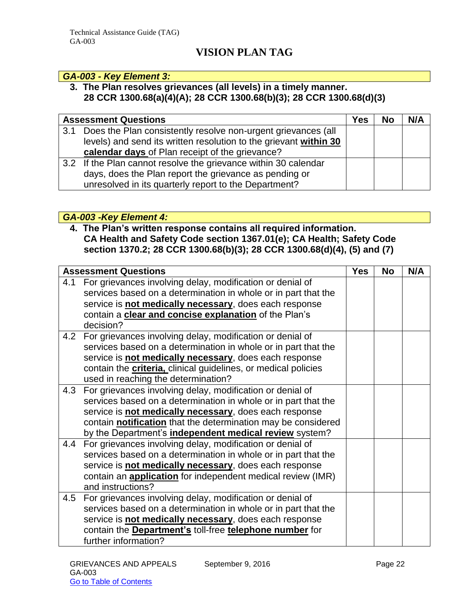#### *GA-003 - Key Element 3:*

### **3. The Plan resolves grievances (all levels) in a timely manner. 28 CCR 1300.68(a)(4)(A); 28 CCR 1300.68(b)(3); 28 CCR 1300.68(d)(3)**

|     | <b>Assessment Questions</b>                                       | Yes | <b>No</b> | N/A |
|-----|-------------------------------------------------------------------|-----|-----------|-----|
| 3.1 | Does the Plan consistently resolve non-urgent grievances (all     |     |           |     |
|     | levels) and send its written resolution to the grievant within 30 |     |           |     |
|     | calendar days of Plan receipt of the grievance?                   |     |           |     |
|     | 3.2 If the Plan cannot resolve the grievance within 30 calendar   |     |           |     |
|     | days, does the Plan report the grievance as pending or            |     |           |     |
|     | unresolved in its quarterly report to the Department?             |     |           |     |

#### *GA-003 -Key Element 4:*

### **4. The Plan's written response contains all required information. CA Health and Safety Code section 1367.01(e); CA Health; Safety Code section 1370.2; 28 CCR 1300.68(b)(3); 28 CCR 1300.68(d)(4), (5) and (7)**

|     | <b>Assessment Questions</b>                                            | <b>Yes</b> | <b>No</b> | N/A |
|-----|------------------------------------------------------------------------|------------|-----------|-----|
| 4.1 | For grievances involving delay, modification or denial of              |            |           |     |
|     | services based on a determination in whole or in part that the         |            |           |     |
|     | service is not medically necessary, does each response                 |            |           |     |
|     | contain a clear and concise explanation of the Plan's                  |            |           |     |
|     | decision?                                                              |            |           |     |
| 4.2 | For grievances involving delay, modification or denial of              |            |           |     |
|     | services based on a determination in whole or in part that the         |            |           |     |
|     | service is not medically necessary, does each response                 |            |           |     |
|     | contain the <b>criteria</b> , clinical guidelines, or medical policies |            |           |     |
|     | used in reaching the determination?                                    |            |           |     |
| 4.3 | For grievances involving delay, modification or denial of              |            |           |     |
|     | services based on a determination in whole or in part that the         |            |           |     |
|     | service is not medically necessary, does each response                 |            |           |     |
|     | contain <b>notification</b> that the determination may be considered   |            |           |     |
|     | by the Department's independent medical review system?                 |            |           |     |
| 4.4 | For grievances involving delay, modification or denial of              |            |           |     |
|     | services based on a determination in whole or in part that the         |            |           |     |
|     | service is not medically necessary, does each response                 |            |           |     |
|     | contain an <b>application</b> for independent medical review (IMR)     |            |           |     |
|     | and instructions?                                                      |            |           |     |
|     | 4.5 For grievances involving delay, modification or denial of          |            |           |     |
|     | services based on a determination in whole or in part that the         |            |           |     |
|     | service is not medically necessary, does each response                 |            |           |     |
|     | contain the Department's toll-free telephone number for                |            |           |     |
|     | further information?                                                   |            |           |     |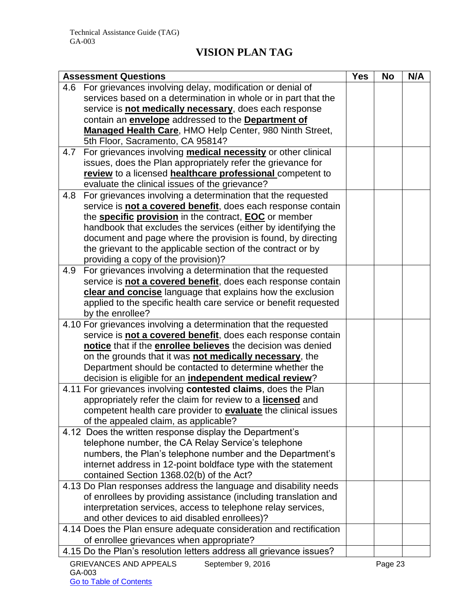| <b>Assessment Questions</b>                                                |  | <b>No</b> | N/A |
|----------------------------------------------------------------------------|--|-----------|-----|
| For grievances involving delay, modification or denial of<br>4.6           |  |           |     |
| services based on a determination in whole or in part that the             |  |           |     |
| service is not medically necessary, does each response                     |  |           |     |
| contain an <i>envelope</i> addressed to the Department of                  |  |           |     |
| Managed Health Care, HMO Help Center, 980 Ninth Street,                    |  |           |     |
| 5th Floor, Sacramento, CA 95814?                                           |  |           |     |
| For grievances involving <b>medical necessity</b> or other clinical<br>4.7 |  |           |     |
| issues, does the Plan appropriately refer the grievance for                |  |           |     |
| review to a licensed healthcare professional competent to                  |  |           |     |
| evaluate the clinical issues of the grievance?                             |  |           |     |
| For grievances involving a determination that the requested<br>4.8         |  |           |     |
| service is not a covered benefit, does each response contain               |  |           |     |
| the <b>specific provision</b> in the contract, <b>EOC</b> or member        |  |           |     |
| handbook that excludes the services (either by identifying the             |  |           |     |
| document and page where the provision is found, by directing               |  |           |     |
| the grievant to the applicable section of the contract or by               |  |           |     |
| providing a copy of the provision)?                                        |  |           |     |
| For grievances involving a determination that the requested<br>4.9         |  |           |     |
| service is not a covered benefit, does each response contain               |  |           |     |
| clear and concise language that explains how the exclusion                 |  |           |     |
| applied to the specific health care service or benefit requested           |  |           |     |
| by the enrollee?                                                           |  |           |     |
| 4.10 For grievances involving a determination that the requested           |  |           |     |
| service is not a covered benefit, does each response contain               |  |           |     |
| notice that if the enrollee believes the decision was denied               |  |           |     |
| on the grounds that it was not medically necessary, the                    |  |           |     |
| Department should be contacted to determine whether the                    |  |           |     |
| decision is eligible for an <i>independent medical review</i> ?            |  |           |     |
| 4.11 For grievances involving contested claims, does the Plan              |  |           |     |
| appropriately refer the claim for review to a <b>licensed</b> and          |  |           |     |
| competent health care provider to <b>evaluate</b> the clinical issues      |  |           |     |
| of the appealed claim, as applicable?                                      |  |           |     |
| 4.12 Does the written response display the Department's                    |  |           |     |
| telephone number, the CA Relay Service's telephone                         |  |           |     |
| numbers, the Plan's telephone number and the Department's                  |  |           |     |
| internet address in 12-point boldface type with the statement              |  |           |     |
| contained Section 1368.02(b) of the Act?                                   |  |           |     |
| 4.13 Do Plan responses address the language and disability needs           |  |           |     |
| of enrollees by providing assistance (including translation and            |  |           |     |
| interpretation services, access to telephone relay services,               |  |           |     |
| and other devices to aid disabled enrollees)?                              |  |           |     |
| 4.14 Does the Plan ensure adequate consideration and rectification         |  |           |     |
| of enrollee grievances when appropriate?                                   |  |           |     |
| 4.15 Do the Plan's resolution letters address all grievance issues?        |  |           |     |
| <b>GRIEVANCES AND APPEALS</b><br>September 9, 2016                         |  | Page 23   |     |
| GA-003                                                                     |  |           |     |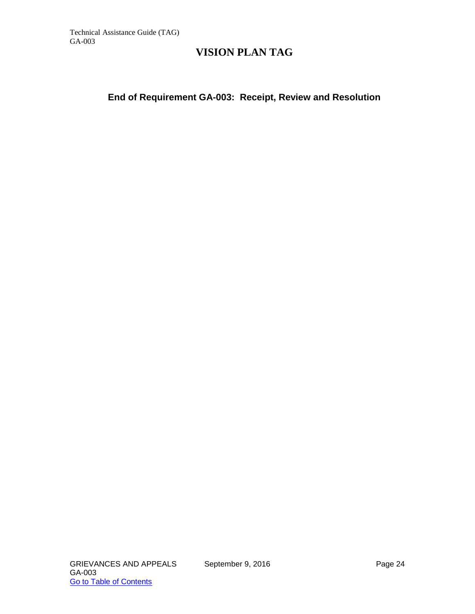### **End of Requirement GA-003: Receipt, Review and Resolution**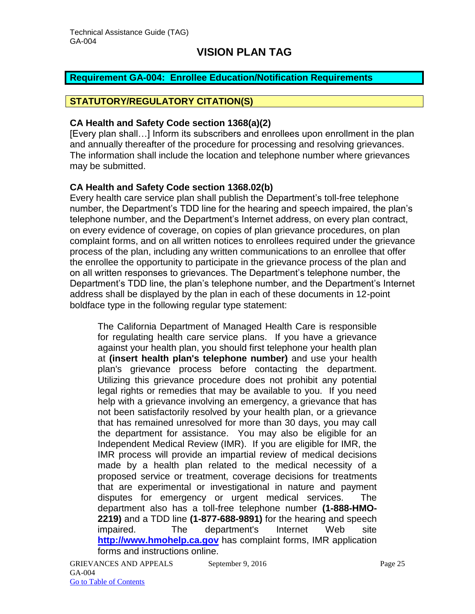#### <span id="page-25-0"></span>**Requirement GA-004: Enrollee Education/Notification Requirements**

### **STATUTORY/REGULATORY CITATION(S)**

#### **CA Health and Safety Code section 1368(a)(2)**

[Every plan shall…] Inform its subscribers and enrollees upon enrollment in the plan and annually thereafter of the procedure for processing and resolving grievances. The information shall include the location and telephone number where grievances may be submitted.

#### **CA Health and Safety Code section 1368.02(b)**

Every health care service plan shall publish the Department's toll-free telephone number, the Department's TDD line for the hearing and speech impaired, the plan's telephone number, and the Department's Internet address, on every plan contract, on every evidence of coverage, on copies of plan grievance procedures, on plan complaint forms, and on all written notices to enrollees required under the grievance process of the plan, including any written communications to an enrollee that offer the enrollee the opportunity to participate in the grievance process of the plan and on all written responses to grievances. The Department's telephone number, the Department's TDD line, the plan's telephone number, and the Department's Internet address shall be displayed by the plan in each of these documents in 12-point boldface type in the following regular type statement:

The California Department of Managed Health Care is responsible for regulating health care service plans. If you have a grievance against your health plan, you should first telephone your health plan at **(insert health plan's telephone number)** and use your health plan's grievance process before contacting the department. Utilizing this grievance procedure does not prohibit any potential legal rights or remedies that may be available to you. If you need help with a grievance involving an emergency, a grievance that has not been satisfactorily resolved by your health plan, or a grievance that has remained unresolved for more than 30 days, you may call the department for assistance. You may also be eligible for an Independent Medical Review (IMR). If you are eligible for IMR, the IMR process will provide an impartial review of medical decisions made by a health plan related to the medical necessity of a proposed service or treatment, coverage decisions for treatments that are experimental or investigational in nature and payment disputes for emergency or urgent medical services. The department also has a toll-free telephone number **(1-888-HMO-2219)** and a TDD line **(1-877-688-9891)** for the hearing and speech impaired. The department's Internet Web site **[http://www.hmohelp.ca.gov](http://www.hmohelp.ca.gov/)** has complaint forms, IMR application forms and instructions online.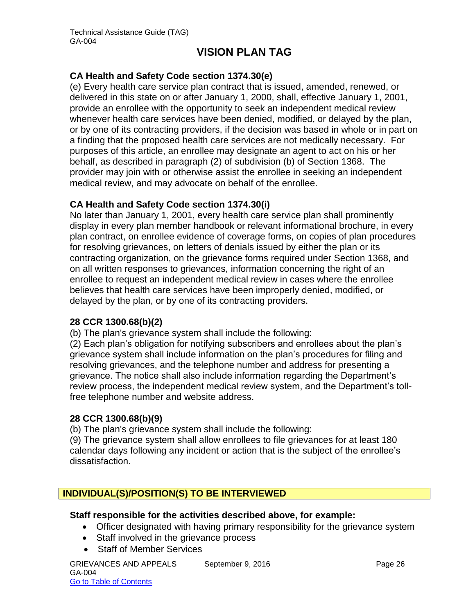### **CA Health and Safety Code section 1374.30(e)**

(e) Every health care service plan contract that is issued, amended, renewed, or delivered in this state on or after January 1, 2000, shall, effective January 1, 2001, provide an enrollee with the opportunity to seek an independent medical review whenever health care services have been denied, modified, or delayed by the plan, or by one of its contracting providers, if the decision was based in whole or in part on a finding that the proposed health care services are not medically necessary. For purposes of this article, an enrollee may designate an agent to act on his or her behalf, as described in paragraph (2) of subdivision (b) of Section 1368. The provider may join with or otherwise assist the enrollee in seeking an independent medical review, and may advocate on behalf of the enrollee.

#### **CA Health and Safety Code section 1374.30(i)**

No later than January 1, 2001, every health care service plan shall prominently display in every plan member handbook or relevant informational brochure, in every plan contract, on enrollee evidence of coverage forms, on copies of plan procedures for resolving grievances, on letters of denials issued by either the plan or its contracting organization, on the grievance forms required under Section 1368, and on all written responses to grievances, information concerning the right of an enrollee to request an independent medical review in cases where the enrollee believes that health care services have been improperly denied, modified, or delayed by the plan, or by one of its contracting providers.

#### **28 CCR 1300.68(b)(2)**

(b) The plan's grievance system shall include the following:

(2) Each plan's obligation for notifying subscribers and enrollees about the plan's grievance system shall include information on the plan's procedures for filing and resolving grievances, and the telephone number and address for presenting a grievance. The notice shall also include information regarding the Department's review process, the independent medical review system, and the Department's tollfree telephone number and website address.

#### **28 CCR 1300.68(b)(9)**

(b) The plan's grievance system shall include the following:

(9) The grievance system shall allow enrollees to file grievances for at least 180 calendar days following any incident or action that is the subject of the enrollee's dissatisfaction.

### **INDIVIDUAL(S)/POSITION(S) TO BE INTERVIEWED**

#### **Staff responsible for the activities described above, for example:**

- Officer designated with having primary responsibility for the grievance system
- Staff involved in the grievance process
- Staff of Member Services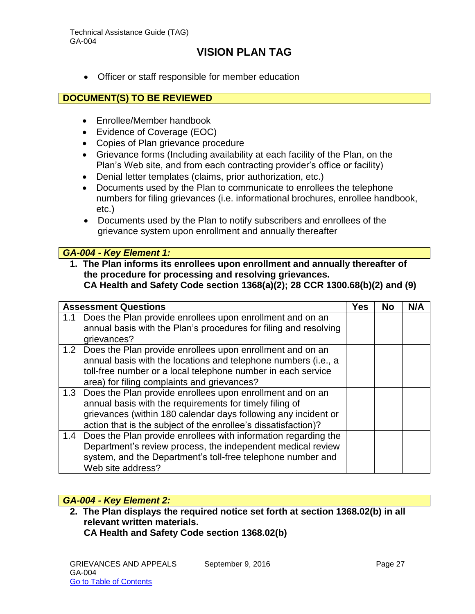Officer or staff responsible for member education

#### **DOCUMENT(S) TO BE REVIEWED**

- Enrollee/Member handbook
- Evidence of Coverage (EOC)
- Copies of Plan grievance procedure
- Grievance forms (Including availability at each facility of the Plan, on the Plan's Web site, and from each contracting provider's office or facility)
- Denial letter templates (claims, prior authorization, etc.)
- Documents used by the Plan to communicate to enrollees the telephone numbers for filing grievances (i.e. informational brochures, enrollee handbook, etc.)
- Documents used by the Plan to notify subscribers and enrollees of the grievance system upon enrollment and annually thereafter

#### *GA-004 - Key Element 1:*

**1. The Plan informs its enrollees upon enrollment and annually thereafter of the procedure for processing and resolving grievances. CA Health and Safety Code section 1368(a)(2); 28 CCR 1300.68(b)(2) and (9)**

|     | <b>Assessment Questions</b>                                                                                                                                                                                                                                  | <b>Yes</b> | <b>No</b> | N/A |
|-----|--------------------------------------------------------------------------------------------------------------------------------------------------------------------------------------------------------------------------------------------------------------|------------|-----------|-----|
| 1.1 | Does the Plan provide enrollees upon enrollment and on an<br>annual basis with the Plan's procedures for filing and resolving<br>grievances?                                                                                                                 |            |           |     |
|     | 1.2 Does the Plan provide enrollees upon enrollment and on an<br>annual basis with the locations and telephone numbers (i.e., a<br>toll-free number or a local telephone number in each service<br>area) for filing complaints and grievances?               |            |           |     |
|     | 1.3 Does the Plan provide enrollees upon enrollment and on an<br>annual basis with the requirements for timely filing of<br>grievances (within 180 calendar days following any incident or<br>action that is the subject of the enrollee's dissatisfaction)? |            |           |     |
| 1.4 | Does the Plan provide enrollees with information regarding the<br>Department's review process, the independent medical review<br>system, and the Department's toll-free telephone number and<br>Web site address?                                            |            |           |     |

#### *GA-004 - Key Element 2:*

**2. The Plan displays the required notice set forth at section 1368.02(b) in all relevant written materials. CA Health and Safety Code section 1368.02(b)**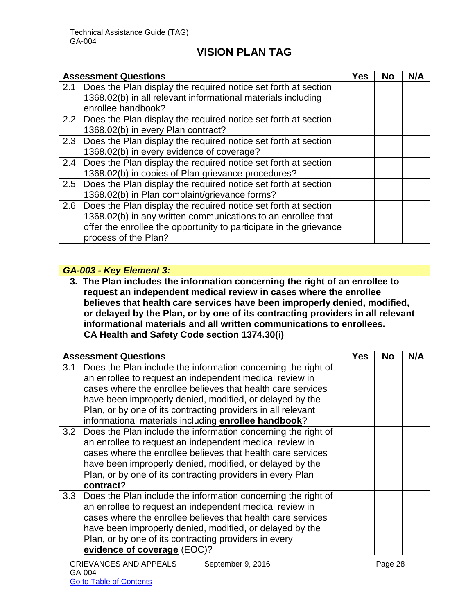|     | <b>Assessment Questions</b>                                        | Yes | <b>No</b> | N/A |
|-----|--------------------------------------------------------------------|-----|-----------|-----|
| 2.1 | Does the Plan display the required notice set forth at section     |     |           |     |
|     | 1368.02(b) in all relevant informational materials including       |     |           |     |
|     | enrollee handbook?                                                 |     |           |     |
|     | 2.2 Does the Plan display the required notice set forth at section |     |           |     |
|     | 1368.02(b) in every Plan contract?                                 |     |           |     |
|     | 2.3 Does the Plan display the required notice set forth at section |     |           |     |
|     | 1368.02(b) in every evidence of coverage?                          |     |           |     |
|     | 2.4 Does the Plan display the required notice set forth at section |     |           |     |
|     | 1368.02(b) in copies of Plan grievance procedures?                 |     |           |     |
|     | 2.5 Does the Plan display the required notice set forth at section |     |           |     |
|     | 1368.02(b) in Plan complaint/grievance forms?                      |     |           |     |
|     | 2.6 Does the Plan display the required notice set forth at section |     |           |     |
|     | 1368.02(b) in any written communications to an enrollee that       |     |           |     |
|     | offer the enrollee the opportunity to participate in the grievance |     |           |     |
|     | process of the Plan?                                               |     |           |     |

### *GA-003 - Key Element 3:*

**3. The Plan includes the information concerning the right of an enrollee to request an independent medical review in cases where the enrollee believes that health care services have been improperly denied, modified, or delayed by the Plan, or by one of its contracting providers in all relevant informational materials and all written communications to enrollees. CA Health and Safety Code section 1374.30(i)**

|     | <b>Assessment Questions</b>                                                                                                                                                                                                                                                                                                                                                 | Yes | No | N/A |
|-----|-----------------------------------------------------------------------------------------------------------------------------------------------------------------------------------------------------------------------------------------------------------------------------------------------------------------------------------------------------------------------------|-----|----|-----|
| 3.1 | Does the Plan include the information concerning the right of<br>an enrollee to request an independent medical review in<br>cases where the enrollee believes that health care services<br>have been improperly denied, modified, or delayed by the<br>Plan, or by one of its contracting providers in all relevant<br>informational materials including enrollee handbook? |     |    |     |
|     | 3.2 Does the Plan include the information concerning the right of<br>an enrollee to request an independent medical review in<br>cases where the enrollee believes that health care services<br>have been improperly denied, modified, or delayed by the<br>Plan, or by one of its contracting providers in every Plan<br>contract?                                          |     |    |     |
|     | 3.3 Does the Plan include the information concerning the right of<br>an enrollee to request an independent medical review in<br>cases where the enrollee believes that health care services<br>have been improperly denied, modified, or delayed by the<br>Plan, or by one of its contracting providers in every<br>evidence of coverage (EOC)?                             |     |    |     |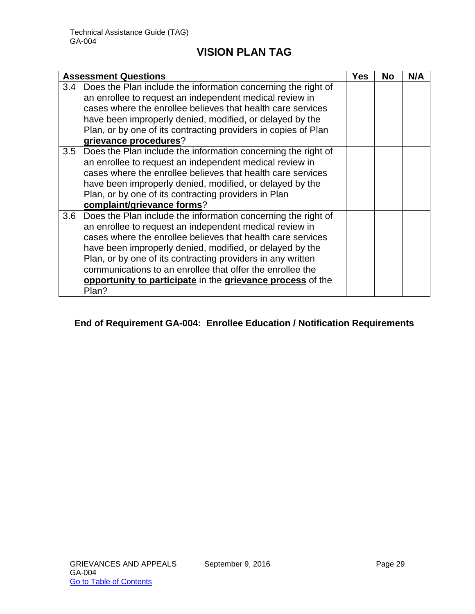|     | <b>Assessment Questions</b>                                                                                                                                                                                                                                                                                                                                                                                                                            | Yes | <b>No</b> | N/A |
|-----|--------------------------------------------------------------------------------------------------------------------------------------------------------------------------------------------------------------------------------------------------------------------------------------------------------------------------------------------------------------------------------------------------------------------------------------------------------|-----|-----------|-----|
|     | 3.4 Does the Plan include the information concerning the right of<br>an enrollee to request an independent medical review in<br>cases where the enrollee believes that health care services<br>have been improperly denied, modified, or delayed by the<br>Plan, or by one of its contracting providers in copies of Plan<br>grievance procedures?                                                                                                     |     |           |     |
| 3.5 | Does the Plan include the information concerning the right of<br>an enrollee to request an independent medical review in<br>cases where the enrollee believes that health care services<br>have been improperly denied, modified, or delayed by the<br>Plan, or by one of its contracting providers in Plan<br>complaint/grievance forms?                                                                                                              |     |           |     |
| 3.6 | Does the Plan include the information concerning the right of<br>an enrollee to request an independent medical review in<br>cases where the enrollee believes that health care services<br>have been improperly denied, modified, or delayed by the<br>Plan, or by one of its contracting providers in any written<br>communications to an enrollee that offer the enrollee the<br>opportunity to participate in the grievance process of the<br>Plan? |     |           |     |

# **End of Requirement GA-004: Enrollee Education / Notification Requirements**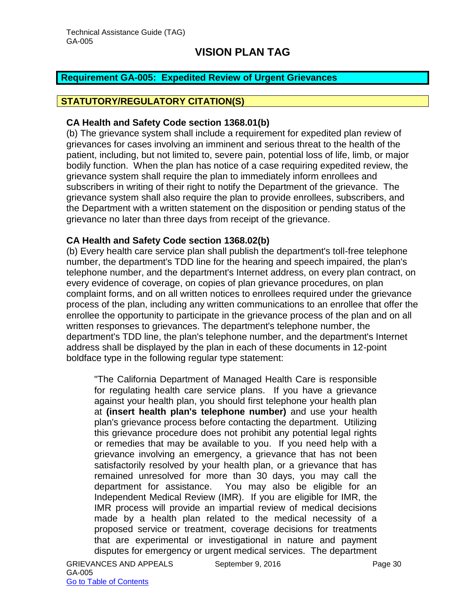#### <span id="page-30-0"></span>**Requirement GA-005: Expedited Review of Urgent Grievances**

### **STATUTORY/REGULATORY CITATION(S)**

#### **CA Health and Safety Code section 1368.01(b)**

(b) The grievance system shall include a requirement for expedited plan review of grievances for cases involving an imminent and serious threat to the health of the patient, including, but not limited to, severe pain, potential loss of life, limb, or major bodily function. When the plan has notice of a case requiring expedited review, the grievance system shall require the plan to immediately inform enrollees and subscribers in writing of their right to notify the Department of the grievance. The grievance system shall also require the plan to provide enrollees, subscribers, and the Department with a written statement on the disposition or pending status of the grievance no later than three days from receipt of the grievance.

#### **CA Health and Safety Code section 1368.02(b)**

(b) Every health care service plan shall publish the department's toll-free telephone number, the department's TDD line for the hearing and speech impaired, the plan's telephone number, and the department's Internet address, on every plan contract, on every evidence of coverage, on copies of plan grievance procedures, on plan complaint forms, and on all written notices to enrollees required under the grievance process of the plan, including any written communications to an enrollee that offer the enrollee the opportunity to participate in the grievance process of the plan and on all written responses to grievances. The department's telephone number, the department's TDD line, the plan's telephone number, and the department's Internet address shall be displayed by the plan in each of these documents in 12-point boldface type in the following regular type statement:

"The California Department of Managed Health Care is responsible for regulating health care service plans. If you have a grievance against your health plan, you should first telephone your health plan at **(insert health plan's telephone number)** and use your health plan's grievance process before contacting the department. Utilizing this grievance procedure does not prohibit any potential legal rights or remedies that may be available to you. If you need help with a grievance involving an emergency, a grievance that has not been satisfactorily resolved by your health plan, or a grievance that has remained unresolved for more than 30 days, you may call the department for assistance. You may also be eligible for an Independent Medical Review (IMR). If you are eligible for IMR, the IMR process will provide an impartial review of medical decisions made by a health plan related to the medical necessity of a proposed service or treatment, coverage decisions for treatments that are experimental or investigational in nature and payment disputes for emergency or urgent medical services. The department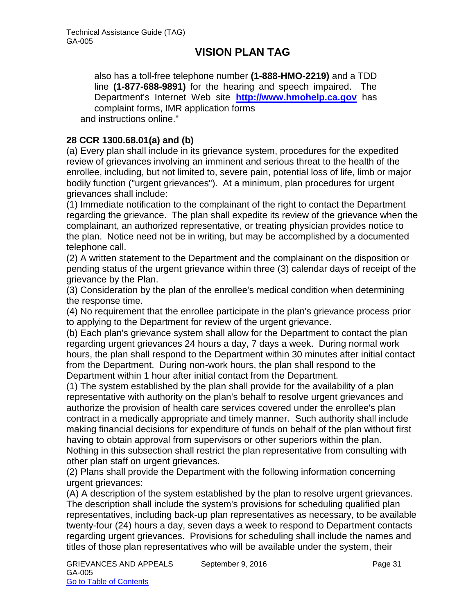also has a toll-free telephone number **(1-888-HMO-2219)** and a TDD line **(1-877-688-9891)** for the hearing and speech impaired. The Department's Internet Web site **[http://www.hmohelp.ca.gov](http://www.hmohelp.ca.gov/)** has complaint forms, IMR application forms and instructions online."

### **28 CCR 1300.68.01(a) and (b)**

(a) Every plan shall include in its grievance system, procedures for the expedited review of grievances involving an imminent and serious threat to the health of the enrollee, including, but not limited to, severe pain, potential loss of life, limb or major bodily function ("urgent grievances"). At a minimum, plan procedures for urgent grievances shall include:

(1) Immediate notification to the complainant of the right to contact the Department regarding the grievance. The plan shall expedite its review of the grievance when the complainant, an authorized representative, or treating physician provides notice to the plan. Notice need not be in writing, but may be accomplished by a documented telephone call.

(2) A written statement to the Department and the complainant on the disposition or pending status of the urgent grievance within three (3) calendar days of receipt of the grievance by the Plan.

(3) Consideration by the plan of the enrollee's medical condition when determining the response time.

(4) No requirement that the enrollee participate in the plan's grievance process prior to applying to the Department for review of the urgent grievance.

(b) Each plan's grievance system shall allow for the Department to contact the plan regarding urgent grievances 24 hours a day, 7 days a week. During normal work hours, the plan shall respond to the Department within 30 minutes after initial contact from the Department. During non-work hours, the plan shall respond to the Department within 1 hour after initial contact from the Department.

(1) The system established by the plan shall provide for the availability of a plan representative with authority on the plan's behalf to resolve urgent grievances and authorize the provision of health care services covered under the enrollee's plan contract in a medically appropriate and timely manner. Such authority shall include making financial decisions for expenditure of funds on behalf of the plan without first having to obtain approval from supervisors or other superiors within the plan. Nothing in this subsection shall restrict the plan representative from consulting with other plan staff on urgent grievances.

(2) Plans shall provide the Department with the following information concerning urgent grievances:

(A) A description of the system established by the plan to resolve urgent grievances. The description shall include the system's provisions for scheduling qualified plan representatives, including back-up plan representatives as necessary, to be available twenty-four (24) hours a day, seven days a week to respond to Department contacts regarding urgent grievances. Provisions for scheduling shall include the names and titles of those plan representatives who will be available under the system, their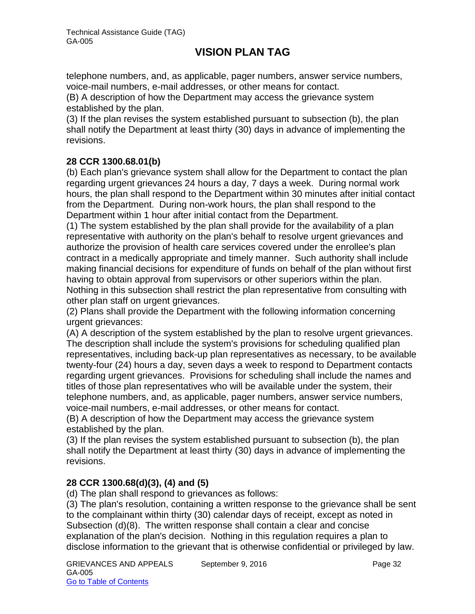telephone numbers, and, as applicable, pager numbers, answer service numbers, voice-mail numbers, e-mail addresses, or other means for contact.

(B) A description of how the Department may access the grievance system established by the plan.

(3) If the plan revises the system established pursuant to subsection (b), the plan shall notify the Department at least thirty (30) days in advance of implementing the revisions.

# **28 CCR 1300.68.01(b)**

(b) Each plan's grievance system shall allow for the Department to contact the plan regarding urgent grievances 24 hours a day, 7 days a week. During normal work hours, the plan shall respond to the Department within 30 minutes after initial contact from the Department. During non-work hours, the plan shall respond to the Department within 1 hour after initial contact from the Department.

(1) The system established by the plan shall provide for the availability of a plan representative with authority on the plan's behalf to resolve urgent grievances and authorize the provision of health care services covered under the enrollee's plan contract in a medically appropriate and timely manner. Such authority shall include making financial decisions for expenditure of funds on behalf of the plan without first having to obtain approval from supervisors or other superiors within the plan. Nothing in this subsection shall restrict the plan representative from consulting with other plan staff on urgent grievances.

(2) Plans shall provide the Department with the following information concerning urgent grievances:

(A) A description of the system established by the plan to resolve urgent grievances. The description shall include the system's provisions for scheduling qualified plan representatives, including back-up plan representatives as necessary, to be available twenty-four (24) hours a day, seven days a week to respond to Department contacts regarding urgent grievances. Provisions for scheduling shall include the names and titles of those plan representatives who will be available under the system, their telephone numbers, and, as applicable, pager numbers, answer service numbers, voice-mail numbers, e-mail addresses, or other means for contact.

(B) A description of how the Department may access the grievance system established by the plan.

(3) If the plan revises the system established pursuant to subsection (b), the plan shall notify the Department at least thirty (30) days in advance of implementing the revisions.

### **28 CCR 1300.68(d)(3), (4) and (5)**

(d) The plan shall respond to grievances as follows:

(3) The plan's resolution, containing a written response to the grievance shall be sent to the complainant within thirty (30) calendar days of receipt, except as noted in Subsection (d)(8). The written response shall contain a clear and concise explanation of the plan's decision. Nothing in this regulation requires a plan to disclose information to the grievant that is otherwise confidential or privileged by law.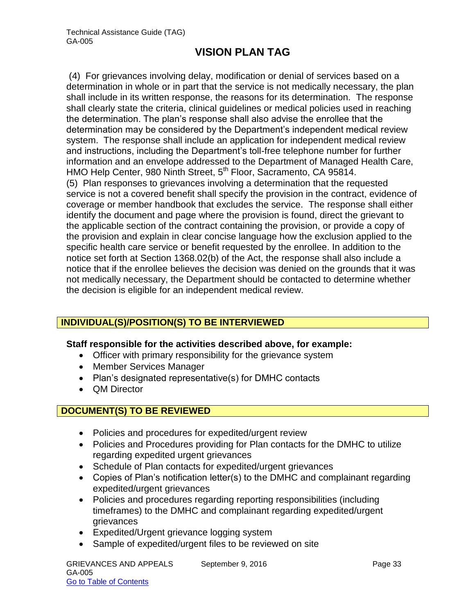(4) For grievances involving delay, modification or denial of services based on a determination in whole or in part that the service is not medically necessary, the plan shall include in its written response, the reasons for its determination. The response shall clearly state the criteria, clinical guidelines or medical policies used in reaching the determination. The plan's response shall also advise the enrollee that the determination may be considered by the Department's independent medical review system. The response shall include an application for independent medical review and instructions, including the Department's toll-free telephone number for further information and an envelope addressed to the Department of Managed Health Care, HMO Help Center, 980 Ninth Street, 5<sup>th</sup> Floor, Sacramento, CA 95814. (5) Plan responses to grievances involving a determination that the requested service is not a covered benefit shall specify the provision in the contract, evidence of coverage or member handbook that excludes the service. The response shall either identify the document and page where the provision is found, direct the grievant to the applicable section of the contract containing the provision, or provide a copy of the provision and explain in clear concise language how the exclusion applied to the

specific health care service or benefit requested by the enrollee. In addition to the notice set forth at Section 1368.02(b) of the Act, the response shall also include a notice that if the enrollee believes the decision was denied on the grounds that it was not medically necessary, the Department should be contacted to determine whether the decision is eligible for an independent medical review.

# **INDIVIDUAL(S)/POSITION(S) TO BE INTERVIEWED**

#### **Staff responsible for the activities described above, for example:**

- Officer with primary responsibility for the grievance system
- Member Services Manager
- Plan's designated representative(s) for DMHC contacts
- OM Director

### **DOCUMENT(S) TO BE REVIEWED**

- Policies and procedures for expedited/urgent review
- Policies and Procedures providing for Plan contacts for the DMHC to utilize regarding expedited urgent grievances
- Schedule of Plan contacts for expedited/urgent grievances
- Copies of Plan's notification letter(s) to the DMHC and complainant regarding expedited/urgent grievances
- Policies and procedures regarding reporting responsibilities (including timeframes) to the DMHC and complainant regarding expedited/urgent grievances
- Expedited/Urgent grievance logging system
- Sample of expedited/urgent files to be reviewed on site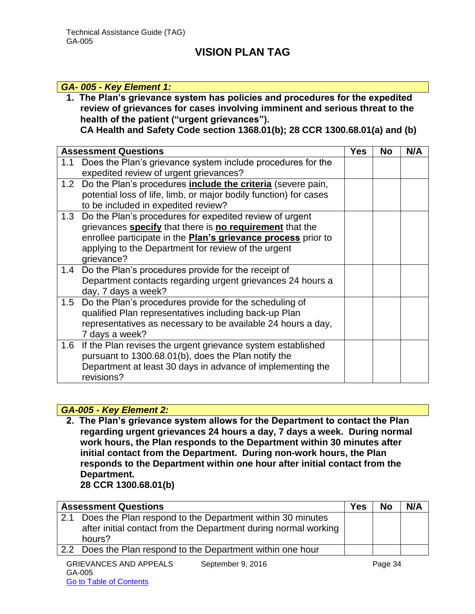#### *GA- 005 - Key Element 1:*

**1. The Plan's grievance system has policies and procedures for the expedited review of grievances for cases involving imminent and serious threat to the health of the patient ("urgent grievances").** 

**CA Health and Safety Code section 1368.01(b); 28 CCR 1300.68.01(a) and (b)**

|                  | <b>Assessment Questions</b>                                                                                                                                                                                                                                      | <b>Yes</b> | <b>No</b> | N/A |
|------------------|------------------------------------------------------------------------------------------------------------------------------------------------------------------------------------------------------------------------------------------------------------------|------------|-----------|-----|
| 1.1              | Does the Plan's grievance system include procedures for the<br>expedited review of urgent grievances?                                                                                                                                                            |            |           |     |
| 1.2 <sub>2</sub> | Do the Plan's procedures <b>include the criteria</b> (severe pain,<br>potential loss of life, limb, or major bodily function) for cases<br>to be included in expedited review?                                                                                   |            |           |     |
| 1.3              | Do the Plan's procedures for expedited review of urgent<br>grievances specify that there is no requirement that the<br>enrollee participate in the <b>Plan's grievance process</b> prior to<br>applying to the Department for review of the urgent<br>grievance? |            |           |     |
| 1.4              | Do the Plan's procedures provide for the receipt of<br>Department contacts regarding urgent grievances 24 hours a<br>day, 7 days a week?                                                                                                                         |            |           |     |
| 1.5              | Do the Plan's procedures provide for the scheduling of<br>qualified Plan representatives including back-up Plan<br>representatives as necessary to be available 24 hours a day,<br>7 days a week?                                                                |            |           |     |
|                  | 1.6 If the Plan revises the urgent grievance system established<br>pursuant to 1300.68.01(b), does the Plan notify the<br>Department at least 30 days in advance of implementing the<br>revisions?                                                               |            |           |     |

#### *GA-005 - Key Element 2:*

**2. The Plan's grievance system allows for the Department to contact the Plan regarding urgent grievances 24 hours a day, 7 days a week. During normal work hours, the Plan responds to the Department within 30 minutes after initial contact from the Department. During non-work hours, the Plan responds to the Department within one hour after initial contact from the Department.** 

**28 CCR 1300.68.01(b)**

|     | <b>Assessment Questions</b>                                     | <b>Yes</b> | <b>No</b> | N/A |
|-----|-----------------------------------------------------------------|------------|-----------|-----|
| 2.1 | Does the Plan respond to the Department within 30 minutes       |            |           |     |
|     | after initial contact from the Department during normal working |            |           |     |
|     | hours?                                                          |            |           |     |
| 2.2 | Does the Plan respond to the Department within one hour         |            |           |     |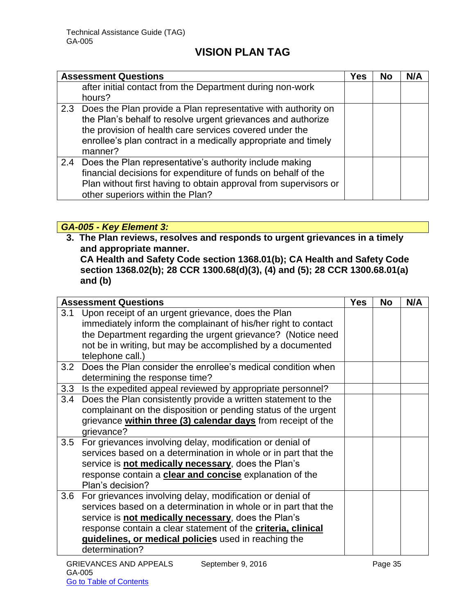|     | <b>Assessment Questions</b>                                                                                                                                                                                                                                               | Yes | <b>No</b> | N/A |
|-----|---------------------------------------------------------------------------------------------------------------------------------------------------------------------------------------------------------------------------------------------------------------------------|-----|-----------|-----|
|     | after initial contact from the Department during non-work<br>hours?                                                                                                                                                                                                       |     |           |     |
|     | 2.3 Does the Plan provide a Plan representative with authority on<br>the Plan's behalf to resolve urgent grievances and authorize<br>the provision of health care services covered under the<br>enrollee's plan contract in a medically appropriate and timely<br>manner? |     |           |     |
| 2.4 | Does the Plan representative's authority include making<br>financial decisions for expenditure of funds on behalf of the<br>Plan without first having to obtain approval from supervisors or<br>other superiors within the Plan?                                          |     |           |     |

# *GA-005 - Key Element 3:*

**3. The Plan reviews, resolves and responds to urgent grievances in a timely and appropriate manner. CA Health and Safety Code section 1368.01(b); CA Health and Safety Code** 

**section 1368.02(b); 28 CCR 1300.68(d)(3), (4) and (5); 28 CCR 1300.68.01(a) and (b)**

| <b>Assessment Questions</b> |                                                                                                                                                                                                                                                                                                                                  | <b>Yes</b> | <b>No</b> | N/A |
|-----------------------------|----------------------------------------------------------------------------------------------------------------------------------------------------------------------------------------------------------------------------------------------------------------------------------------------------------------------------------|------------|-----------|-----|
| 3.1                         | Upon receipt of an urgent grievance, does the Plan<br>immediately inform the complainant of his/her right to contact<br>the Department regarding the urgent grievance? (Notice need<br>not be in writing, but may be accomplished by a documented<br>telephone call.)                                                            |            |           |     |
|                             | 3.2 Does the Plan consider the enrollee's medical condition when<br>determining the response time?                                                                                                                                                                                                                               |            |           |     |
| 3.3                         | Is the expedited appeal reviewed by appropriate personnel?                                                                                                                                                                                                                                                                       |            |           |     |
| 3.4                         | Does the Plan consistently provide a written statement to the<br>complainant on the disposition or pending status of the urgent<br>grievance within three (3) calendar days from receipt of the<br>grievance?                                                                                                                    |            |           |     |
|                             | 3.5 For grievances involving delay, modification or denial of<br>services based on a determination in whole or in part that the<br>service is not medically necessary, does the Plan's<br>response contain a clear and concise explanation of the<br>Plan's decision?                                                            |            |           |     |
|                             | 3.6 For grievances involving delay, modification or denial of<br>services based on a determination in whole or in part that the<br>service is not medically necessary, does the Plan's<br>response contain a clear statement of the criteria, clinical<br>guidelines, or medical policies used in reaching the<br>determination? |            |           |     |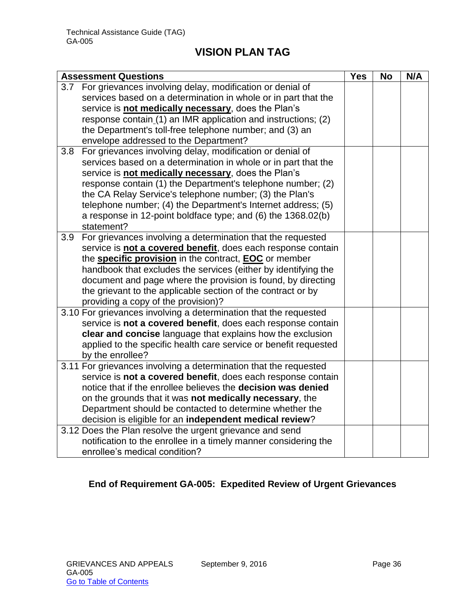| <b>Assessment Questions</b>                                         |  | <b>No</b> | N/A |
|---------------------------------------------------------------------|--|-----------|-----|
| For grievances involving delay, modification or denial of<br>3.7    |  |           |     |
| services based on a determination in whole or in part that the      |  |           |     |
| service is not medically necessary, does the Plan's                 |  |           |     |
| response contain (1) an IMR application and instructions; (2)       |  |           |     |
| the Department's toll-free telephone number; and (3) an             |  |           |     |
| envelope addressed to the Department?                               |  |           |     |
| For grievances involving delay, modification or denial of<br>3.8    |  |           |     |
| services based on a determination in whole or in part that the      |  |           |     |
| service is not medically necessary, does the Plan's                 |  |           |     |
| response contain (1) the Department's telephone number; (2)         |  |           |     |
| the CA Relay Service's telephone number; (3) the Plan's             |  |           |     |
| telephone number; (4) the Department's Internet address; (5)        |  |           |     |
| a response in 12-point boldface type; and (6) the 1368.02(b)        |  |           |     |
| statement?                                                          |  |           |     |
| For grievances involving a determination that the requested<br>3.9  |  |           |     |
| service is not a covered benefit, does each response contain        |  |           |     |
| the <b>specific provision</b> in the contract, <b>EOC</b> or member |  |           |     |
| handbook that excludes the services (either by identifying the      |  |           |     |
| document and page where the provision is found, by directing        |  |           |     |
| the grievant to the applicable section of the contract or by        |  |           |     |
| providing a copy of the provision)?                                 |  |           |     |
| 3.10 For grievances involving a determination that the requested    |  |           |     |
| service is not a covered benefit, does each response contain        |  |           |     |
| clear and concise language that explains how the exclusion          |  |           |     |
| applied to the specific health care service or benefit requested    |  |           |     |
| by the enrollee?                                                    |  |           |     |
| 3.11 For grievances involving a determination that the requested    |  |           |     |
| service is not a covered benefit, does each response contain        |  |           |     |
| notice that if the enrollee believes the <b>decision was denied</b> |  |           |     |
| on the grounds that it was not medically necessary, the             |  |           |     |
| Department should be contacted to determine whether the             |  |           |     |
| decision is eligible for an independent medical review?             |  |           |     |
| 3.12 Does the Plan resolve the urgent grievance and send            |  |           |     |
| notification to the enrollee in a timely manner considering the     |  |           |     |
| enrollee's medical condition?                                       |  |           |     |

# **End of Requirement GA-005: Expedited Review of Urgent Grievances**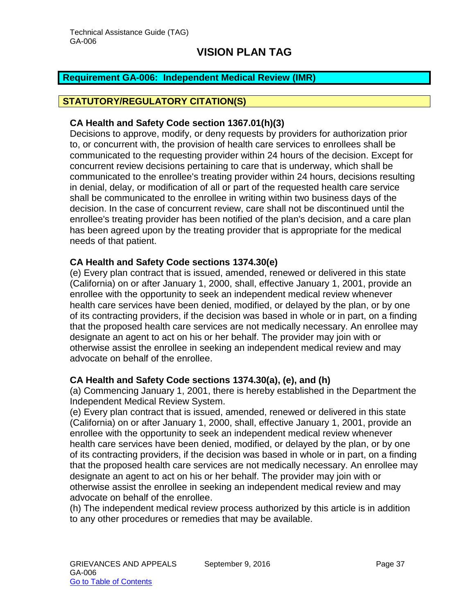#### <span id="page-37-0"></span>**Requirement GA-006: Independent Medical Review (IMR)**

### **STATUTORY/REGULATORY CITATION(S)**

#### **CA Health and Safety Code section 1367.01(h)(3)**

Decisions to approve, modify, or deny requests by providers for authorization prior to, or concurrent with, the provision of health care services to enrollees shall be communicated to the requesting provider within 24 hours of the decision. Except for concurrent review decisions pertaining to care that is underway, which shall be communicated to the enrollee's treating provider within 24 hours, decisions resulting in denial, delay, or modification of all or part of the requested health care service shall be communicated to the enrollee in writing within two business days of the decision. In the case of concurrent review, care shall not be discontinued until the enrollee's treating provider has been notified of the plan's decision, and a care plan has been agreed upon by the treating provider that is appropriate for the medical needs of that patient.

#### **CA Health and Safety Code sections 1374.30(e)**

(e) Every plan contract that is issued, amended, renewed or delivered in this state (California) on or after January 1, 2000, shall, effective January 1, 2001, provide an enrollee with the opportunity to seek an independent medical review whenever health care services have been denied, modified, or delayed by the plan, or by one of its contracting providers, if the decision was based in whole or in part, on a finding that the proposed health care services are not medically necessary. An enrollee may designate an agent to act on his or her behalf. The provider may join with or otherwise assist the enrollee in seeking an independent medical review and may advocate on behalf of the enrollee.

#### **CA Health and Safety Code sections 1374.30(a), (e), and (h)**

(a) Commencing January 1, 2001, there is hereby established in the Department the Independent Medical Review System.

(e) Every plan contract that is issued, amended, renewed or delivered in this state (California) on or after January 1, 2000, shall, effective January 1, 2001, provide an enrollee with the opportunity to seek an independent medical review whenever health care services have been denied, modified, or delayed by the plan, or by one of its contracting providers, if the decision was based in whole or in part, on a finding that the proposed health care services are not medically necessary. An enrollee may designate an agent to act on his or her behalf. The provider may join with or otherwise assist the enrollee in seeking an independent medical review and may advocate on behalf of the enrollee.

(h) The independent medical review process authorized by this article is in addition to any other procedures or remedies that may be available.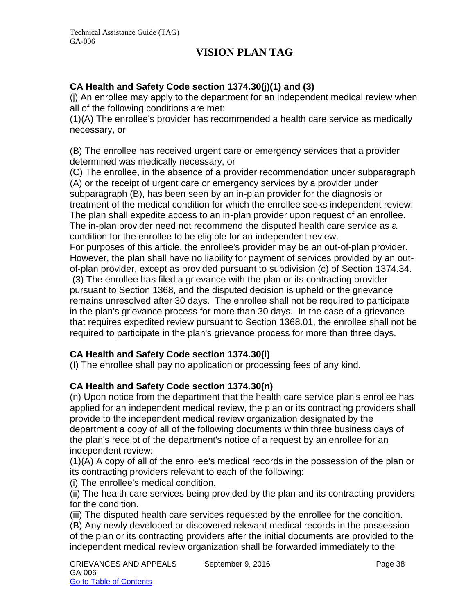### **CA Health and Safety Code section 1374.30(j)(1) and (3)**

(j) An enrollee may apply to the department for an independent medical review when all of the following conditions are met:

(1)(A) The enrollee's provider has recommended a health care service as medically necessary, or

(B) The enrollee has received urgent care or emergency services that a provider determined was medically necessary, or

(C) The enrollee, in the absence of a provider recommendation under subparagraph (A) or the receipt of urgent care or emergency services by a provider under subparagraph (B), has been seen by an in-plan provider for the diagnosis or treatment of the medical condition for which the enrollee seeks independent review. The plan shall expedite access to an in-plan provider upon request of an enrollee. The in-plan provider need not recommend the disputed health care service as a condition for the enrollee to be eligible for an independent review.

For purposes of this article, the enrollee's provider may be an out-of-plan provider. However, the plan shall have no liability for payment of services provided by an outof-plan provider, except as provided pursuant to subdivision (c) of Section 1374.34.

(3) The enrollee has filed a grievance with the plan or its contracting provider pursuant to Section 1368, and the disputed decision is upheld or the grievance remains unresolved after 30 days. The enrollee shall not be required to participate in the plan's grievance process for more than 30 days. In the case of a grievance that requires expedited review pursuant to Section 1368.01, the enrollee shall not be required to participate in the plan's grievance process for more than three days.

### **CA Health and Safety Code section 1374.30(l)**

(I) The enrollee shall pay no application or processing fees of any kind.

### **CA Health and Safety Code section 1374.30(n)**

(n) Upon notice from the department that the health care service plan's enrollee has applied for an independent medical review, the plan or its contracting providers shall provide to the independent medical review organization designated by the department a copy of all of the following documents within three business days of the plan's receipt of the department's notice of a request by an enrollee for an independent review:

(1)(A) A copy of all of the enrollee's medical records in the possession of the plan or its contracting providers relevant to each of the following:

(i) The enrollee's medical condition.

(ii) The health care services being provided by the plan and its contracting providers for the condition.

(iii) The disputed health care services requested by the enrollee for the condition.

(B) Any newly developed or discovered relevant medical records in the possession of the plan or its contracting providers after the initial documents are provided to the independent medical review organization shall be forwarded immediately to the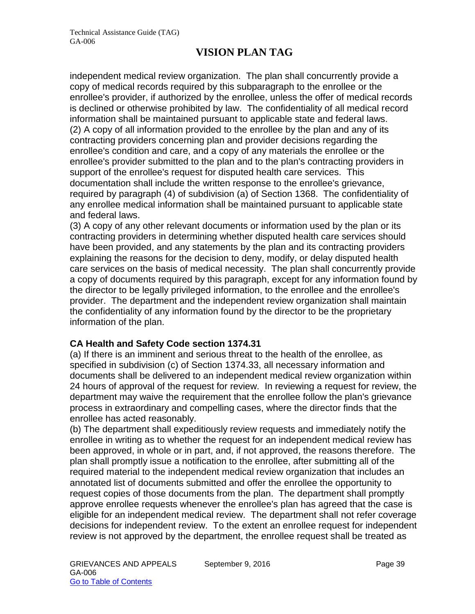independent medical review organization. The plan shall concurrently provide a copy of medical records required by this subparagraph to the enrollee or the enrollee's provider, if authorized by the enrollee, unless the offer of medical records is declined or otherwise prohibited by law. The confidentiality of all medical record information shall be maintained pursuant to applicable state and federal laws. (2) A copy of all information provided to the enrollee by the plan and any of its contracting providers concerning plan and provider decisions regarding the enrollee's condition and care, and a copy of any materials the enrollee or the enrollee's provider submitted to the plan and to the plan's contracting providers in support of the enrollee's request for disputed health care services. This documentation shall include the written response to the enrollee's grievance, required by paragraph (4) of subdivision (a) of Section 1368. The confidentiality of any enrollee medical information shall be maintained pursuant to applicable state and federal laws.

(3) A copy of any other relevant documents or information used by the plan or its contracting providers in determining whether disputed health care services should have been provided, and any statements by the plan and its contracting providers explaining the reasons for the decision to deny, modify, or delay disputed health care services on the basis of medical necessity. The plan shall concurrently provide a copy of documents required by this paragraph, except for any information found by the director to be legally privileged information, to the enrollee and the enrollee's provider. The department and the independent review organization shall maintain the confidentiality of any information found by the director to be the proprietary information of the plan.

### **CA Health and Safety Code section 1374.31**

(a) If there is an imminent and serious threat to the health of the enrollee, as specified in subdivision (c) of Section 1374.33, all necessary information and documents shall be delivered to an independent medical review organization within 24 hours of approval of the request for review. In reviewing a request for review, the department may waive the requirement that the enrollee follow the plan's grievance process in extraordinary and compelling cases, where the director finds that the enrollee has acted reasonably.

(b) The department shall expeditiously review requests and immediately notify the enrollee in writing as to whether the request for an independent medical review has been approved, in whole or in part, and, if not approved, the reasons therefore. The plan shall promptly issue a notification to the enrollee, after submitting all of the required material to the independent medical review organization that includes an annotated list of documents submitted and offer the enrollee the opportunity to request copies of those documents from the plan. The department shall promptly approve enrollee requests whenever the enrollee's plan has agreed that the case is eligible for an independent medical review. The department shall not refer coverage decisions for independent review. To the extent an enrollee request for independent review is not approved by the department, the enrollee request shall be treated as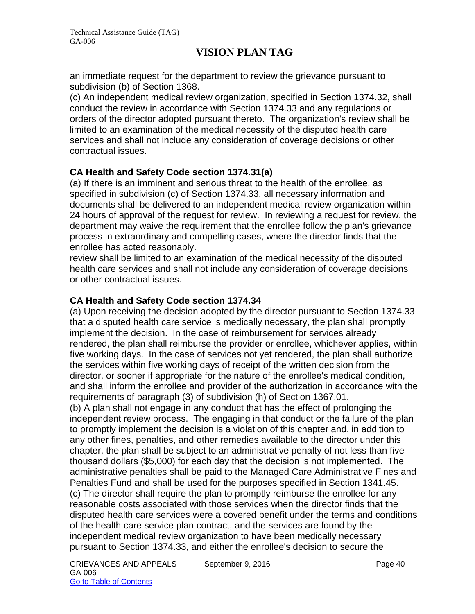an immediate request for the department to review the grievance pursuant to subdivision (b) of Section 1368.

(c) An independent medical review organization, specified in Section 1374.32, shall conduct the review in accordance with Section 1374.33 and any regulations or orders of the director adopted pursuant thereto. The organization's review shall be limited to an examination of the medical necessity of the disputed health care services and shall not include any consideration of coverage decisions or other contractual issues.

### **CA Health and Safety Code section 1374.31(a)**

(a) If there is an imminent and serious threat to the health of the enrollee, as specified in subdivision (c) of Section 1374.33, all necessary information and documents shall be delivered to an independent medical review organization within 24 hours of approval of the request for review. In reviewing a request for review, the department may waive the requirement that the enrollee follow the plan's grievance process in extraordinary and compelling cases, where the director finds that the enrollee has acted reasonably.

review shall be limited to an examination of the medical necessity of the disputed health care services and shall not include any consideration of coverage decisions or other contractual issues.

### **CA Health and Safety Code section 1374.34**

(a) Upon receiving the decision adopted by the director pursuant to Section 1374.33 that a disputed health care service is medically necessary, the plan shall promptly implement the decision. In the case of reimbursement for services already rendered, the plan shall reimburse the provider or enrollee, whichever applies, within five working days. In the case of services not yet rendered, the plan shall authorize the services within five working days of receipt of the written decision from the director, or sooner if appropriate for the nature of the enrollee's medical condition, and shall inform the enrollee and provider of the authorization in accordance with the requirements of paragraph (3) of subdivision (h) of Section 1367.01.

(b) A plan shall not engage in any conduct that has the effect of prolonging the independent review process. The engaging in that conduct or the failure of the plan to promptly implement the decision is a violation of this chapter and, in addition to any other fines, penalties, and other remedies available to the director under this chapter, the plan shall be subject to an administrative penalty of not less than five thousand dollars (\$5,000) for each day that the decision is not implemented. The administrative penalties shall be paid to the Managed Care Administrative Fines and Penalties Fund and shall be used for the purposes specified in Section 1341.45. (c) The director shall require the plan to promptly reimburse the enrollee for any reasonable costs associated with those services when the director finds that the disputed health care services were a covered benefit under the terms and conditions of the health care service plan contract, and the services are found by the independent medical review organization to have been medically necessary pursuant to Section 1374.33, and either the enrollee's decision to secure the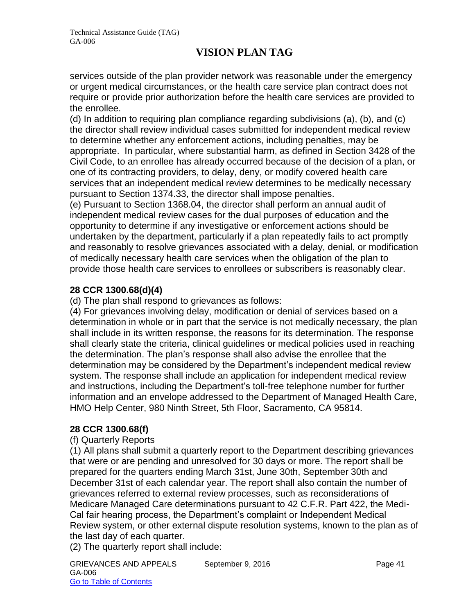services outside of the plan provider network was reasonable under the emergency or urgent medical circumstances, or the health care service plan contract does not require or provide prior authorization before the health care services are provided to the enrollee.

(d) In addition to requiring plan compliance regarding subdivisions (a), (b), and (c) the director shall review individual cases submitted for independent medical review to determine whether any enforcement actions, including penalties, may be appropriate. In particular, where substantial harm, as defined in Section 3428 of the Civil Code, to an enrollee has already occurred because of the decision of a plan, or one of its contracting providers, to delay, deny, or modify covered health care services that an independent medical review determines to be medically necessary pursuant to Section 1374.33, the director shall impose penalties.

(e) Pursuant to Section 1368.04, the director shall perform an annual audit of independent medical review cases for the dual purposes of education and the opportunity to determine if any investigative or enforcement actions should be undertaken by the department, particularly if a plan repeatedly fails to act promptly and reasonably to resolve grievances associated with a delay, denial, or modification of medically necessary health care services when the obligation of the plan to provide those health care services to enrollees or subscribers is reasonably clear.

### **28 CCR 1300.68(d)(4)**

(d) The plan shall respond to grievances as follows:

(4) For grievances involving delay, modification or denial of services based on a determination in whole or in part that the service is not medically necessary, the plan shall include in its written response, the reasons for its determination. The response shall clearly state the criteria, clinical guidelines or medical policies used in reaching the determination. The plan's response shall also advise the enrollee that the determination may be considered by the Department's independent medical review system. The response shall include an application for independent medical review and instructions, including the Department's toll-free telephone number for further information and an envelope addressed to the Department of Managed Health Care, HMO Help Center, 980 Ninth Street, 5th Floor, Sacramento, CA 95814.

#### **28 CCR 1300.68(f)**

#### (f) Quarterly Reports

(1) All plans shall submit a quarterly report to the Department describing grievances that were or are pending and unresolved for 30 days or more. The report shall be prepared for the quarters ending March 31st, June 30th, September 30th and December 31st of each calendar year. The report shall also contain the number of grievances referred to external review processes, such as reconsiderations of Medicare Managed Care determinations pursuant to 42 C.F.R. Part 422, the Medi-Cal fair hearing process, the Department's complaint or Independent Medical Review system, or other external dispute resolution systems, known to the plan as of the last day of each quarter.

(2) The quarterly report shall include: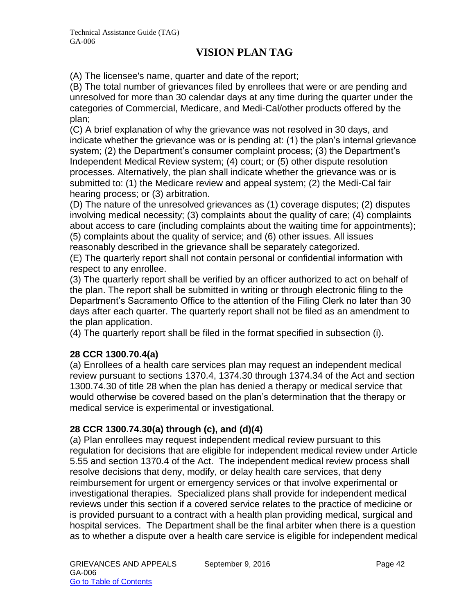(A) The licensee's name, quarter and date of the report;

(B) The total number of grievances filed by enrollees that were or are pending and unresolved for more than 30 calendar days at any time during the quarter under the categories of Commercial, Medicare, and Medi-Cal/other products offered by the plan;

(C) A brief explanation of why the grievance was not resolved in 30 days, and indicate whether the grievance was or is pending at: (1) the plan's internal grievance system; (2) the Department's consumer complaint process; (3) the Department's Independent Medical Review system; (4) court; or (5) other dispute resolution processes. Alternatively, the plan shall indicate whether the grievance was or is submitted to: (1) the Medicare review and appeal system; (2) the Medi-Cal fair hearing process; or (3) arbitration.

(D) The nature of the unresolved grievances as (1) coverage disputes; (2) disputes involving medical necessity; (3) complaints about the quality of care; (4) complaints about access to care (including complaints about the waiting time for appointments); (5) complaints about the quality of service; and (6) other issues. All issues reasonably described in the grievance shall be separately categorized.

(E) The quarterly report shall not contain personal or confidential information with respect to any enrollee.

(3) The quarterly report shall be verified by an officer authorized to act on behalf of the plan. The report shall be submitted in writing or through electronic filing to the Department's Sacramento Office to the attention of the Filing Clerk no later than 30 days after each quarter. The quarterly report shall not be filed as an amendment to the plan application.

(4) The quarterly report shall be filed in the format specified in subsection (i).

### **28 CCR 1300.70.4(a)**

(a) Enrollees of a health care services plan may request an independent medical review pursuant to sections 1370.4, 1374.30 through 1374.34 of the Act and section 1300.74.30 of title 28 when the plan has denied a therapy or medical service that would otherwise be covered based on the plan's determination that the therapy or medical service is experimental or investigational.

### **28 CCR 1300.74.30(a) through (c), and (d)(4)**

(a) Plan enrollees may request independent medical review pursuant to this regulation for decisions that are eligible for independent medical review under Article 5.55 and section 1370.4 of the Act. The independent medical review process shall resolve decisions that deny, modify, or delay health care services, that deny reimbursement for urgent or emergency services or that involve experimental or investigational therapies. Specialized plans shall provide for independent medical reviews under this section if a covered service relates to the practice of medicine or is provided pursuant to a contract with a health plan providing medical, surgical and hospital services. The Department shall be the final arbiter when there is a question as to whether a dispute over a health care service is eligible for independent medical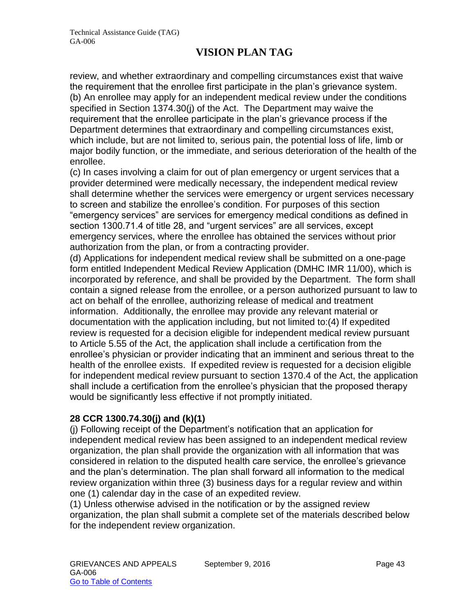review, and whether extraordinary and compelling circumstances exist that waive the requirement that the enrollee first participate in the plan's grievance system. (b) An enrollee may apply for an independent medical review under the conditions specified in Section 1374.30(j) of the Act. The Department may waive the requirement that the enrollee participate in the plan's grievance process if the Department determines that extraordinary and compelling circumstances exist, which include, but are not limited to, serious pain, the potential loss of life, limb or major bodily function, or the immediate, and serious deterioration of the health of the enrollee.

(c) In cases involving a claim for out of plan emergency or urgent services that a provider determined were medically necessary, the independent medical review shall determine whether the services were emergency or urgent services necessary to screen and stabilize the enrollee's condition. For purposes of this section "emergency services" are services for emergency medical conditions as defined in section 1300.71.4 of title 28, and "urgent services" are all services, except emergency services, where the enrollee has obtained the services without prior authorization from the plan, or from a contracting provider.

(d) Applications for independent medical review shall be submitted on a one-page form entitled Independent Medical Review Application (DMHC IMR 11/00), which is incorporated by reference, and shall be provided by the Department. The form shall contain a signed release from the enrollee, or a person authorized pursuant to law to act on behalf of the enrollee, authorizing release of medical and treatment information. Additionally, the enrollee may provide any relevant material or documentation with the application including, but not limited to:(4) If expedited review is requested for a decision eligible for independent medical review pursuant to Article 5.55 of the Act, the application shall include a certification from the enrollee's physician or provider indicating that an imminent and serious threat to the health of the enrollee exists. If expedited review is requested for a decision eligible for independent medical review pursuant to section 1370.4 of the Act, the application shall include a certification from the enrollee's physician that the proposed therapy would be significantly less effective if not promptly initiated.

### **28 CCR 1300.74.30(j) and (k)(1)**

(j) Following receipt of the Department's notification that an application for independent medical review has been assigned to an independent medical review organization, the plan shall provide the organization with all information that was considered in relation to the disputed health care service, the enrollee's grievance and the plan's determination. The plan shall forward all information to the medical review organization within three (3) business days for a regular review and within one (1) calendar day in the case of an expedited review.

(1) Unless otherwise advised in the notification or by the assigned review organization, the plan shall submit a complete set of the materials described below for the independent review organization.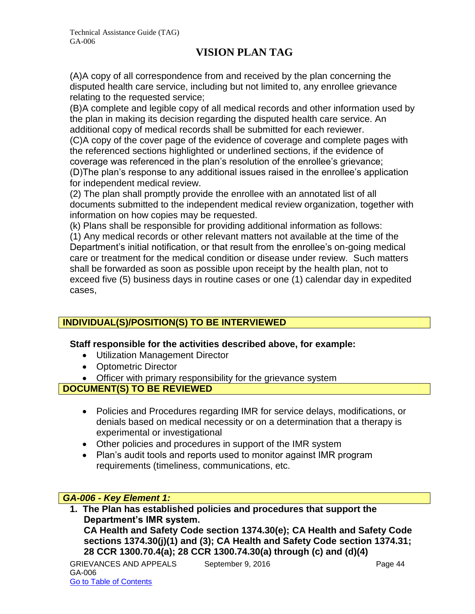(A)A copy of all correspondence from and received by the plan concerning the disputed health care service, including but not limited to, any enrollee grievance relating to the requested service;

(B)A complete and legible copy of all medical records and other information used by the plan in making its decision regarding the disputed health care service. An additional copy of medical records shall be submitted for each reviewer.

(C)A copy of the cover page of the evidence of coverage and complete pages with the referenced sections highlighted or underlined sections, if the evidence of coverage was referenced in the plan's resolution of the enrollee's grievance; (D)The plan's response to any additional issues raised in the enrollee's application

for independent medical review.

(2) The plan shall promptly provide the enrollee with an annotated list of all documents submitted to the independent medical review organization, together with information on how copies may be requested.

(k) Plans shall be responsible for providing additional information as follows:

(1) Any medical records or other relevant matters not available at the time of the Department's initial notification, or that result from the enrollee's on-going medical care or treatment for the medical condition or disease under review. Such matters shall be forwarded as soon as possible upon receipt by the health plan, not to exceed five (5) business days in routine cases or one (1) calendar day in expedited cases,

# **INDIVIDUAL(S)/POSITION(S) TO BE INTERVIEWED**

### **Staff responsible for the activities described above, for example:**

- Utilization Management Director
- Optometric Director
- Officer with primary responsibility for the grievance system

**DOCUMENT(S) TO BE REVIEWED**

- Policies and Procedures regarding IMR for service delays, modifications, or denials based on medical necessity or on a determination that a therapy is experimental or investigational
- Other policies and procedures in support of the IMR system
- Plan's audit tools and reports used to monitor against IMR program requirements (timeliness, communications, etc.

### *GA-006 - Key Element 1:*

**1. The Plan has established policies and procedures that support the Department's IMR system. CA Health and Safety Code section 1374.30(e); CA Health and Safety Code sections 1374.30(j)(1) and (3); CA Health and Safety Code section 1374.31; 28 CCR 1300.70.4(a); 28 CCR 1300.74.30(a) through (c) and (d)(4)**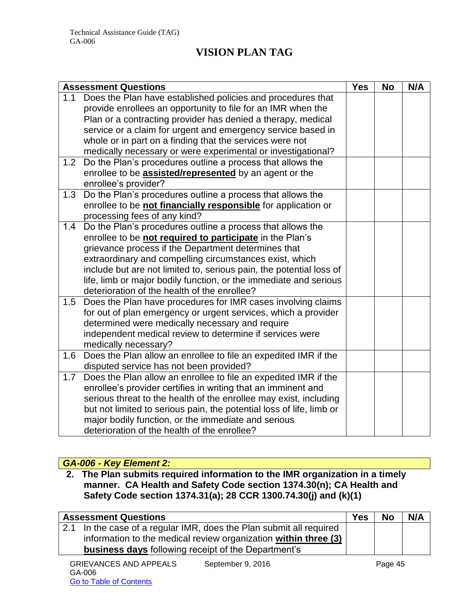| <b>Assessment Questions</b> |                                                                      | <b>Yes</b> | <b>No</b> | N/A |
|-----------------------------|----------------------------------------------------------------------|------------|-----------|-----|
| 1.1                         | Does the Plan have established policies and procedures that          |            |           |     |
|                             | provide enrollees an opportunity to file for an IMR when the         |            |           |     |
|                             | Plan or a contracting provider has denied a therapy, medical         |            |           |     |
|                             | service or a claim for urgent and emergency service based in         |            |           |     |
|                             | whole or in part on a finding that the services were not             |            |           |     |
|                             | medically necessary or were experimental or investigational?         |            |           |     |
| 1.2                         | Do the Plan's procedures outline a process that allows the           |            |           |     |
|                             | enrollee to be <b>assisted/represented</b> by an agent or the        |            |           |     |
|                             | enrollee's provider?                                                 |            |           |     |
| 1.3                         | Do the Plan's procedures outline a process that allows the           |            |           |     |
|                             | enrollee to be not financially responsible for application or        |            |           |     |
|                             | processing fees of any kind?                                         |            |           |     |
| 1.4                         | Do the Plan's procedures outline a process that allows the           |            |           |     |
|                             | enrollee to be not required to participate in the Plan's             |            |           |     |
|                             | grievance process if the Department determines that                  |            |           |     |
|                             | extraordinary and compelling circumstances exist, which              |            |           |     |
|                             | include but are not limited to, serious pain, the potential loss of  |            |           |     |
|                             | life, limb or major bodily function, or the immediate and serious    |            |           |     |
|                             | deterioration of the health of the enrollee?                         |            |           |     |
| 1.5                         | Does the Plan have procedures for IMR cases involving claims         |            |           |     |
|                             | for out of plan emergency or urgent services, which a provider       |            |           |     |
|                             | determined were medically necessary and require                      |            |           |     |
|                             | independent medical review to determine if services were             |            |           |     |
|                             | medically necessary?                                                 |            |           |     |
| 1.6                         | Does the Plan allow an enrollee to file an expedited IMR if the      |            |           |     |
|                             | disputed service has not been provided?                              |            |           |     |
| 1.7                         | Does the Plan allow an enrollee to file an expedited IMR if the      |            |           |     |
|                             | enrollee's provider certifies in writing that an imminent and        |            |           |     |
|                             | serious threat to the health of the enrollee may exist, including    |            |           |     |
|                             | but not limited to serious pain, the potential loss of life, limb or |            |           |     |
|                             | major bodily function, or the immediate and serious                  |            |           |     |
|                             | deterioration of the health of the enrollee?                         |            |           |     |

# *GA-006 - Key Element 2:*

**2. The Plan submits required information to the IMR organization in a timely manner. CA Health and Safety Code section 1374.30(n); CA Health and Safety Code section 1374.31(a); 28 CCR 1300.74.30(j) and (k)(1)**

| <b>Assessment Questions</b>                                         | Yes | <b>No</b> | N/A |
|---------------------------------------------------------------------|-----|-----------|-----|
| 2.1 In the case of a regular IMR, does the Plan submit all required |     |           |     |
| information to the medical review organization within three (3)     |     |           |     |
| <b>business days</b> following receipt of the Department's          |     |           |     |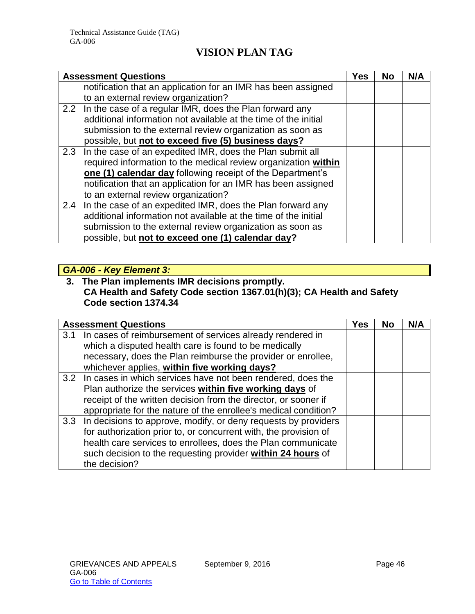| <b>Assessment Questions</b>                                     | Yes | <b>No</b> | N/A |
|-----------------------------------------------------------------|-----|-----------|-----|
| notification that an application for an IMR has been assigned   |     |           |     |
| to an external review organization?                             |     |           |     |
| 2.2 In the case of a regular IMR, does the Plan forward any     |     |           |     |
| additional information not available at the time of the initial |     |           |     |
| submission to the external review organization as soon as       |     |           |     |
| possible, but not to exceed five (5) business days?             |     |           |     |
| 2.3 In the case of an expedited IMR, does the Plan submit all   |     |           |     |
| required information to the medical review organization within  |     |           |     |
| one (1) calendar day following receipt of the Department's      |     |           |     |
| notification that an application for an IMR has been assigned   |     |           |     |
| to an external review organization?                             |     |           |     |
| 2.4 In the case of an expedited IMR, does the Plan forward any  |     |           |     |
| additional information not available at the time of the initial |     |           |     |
| submission to the external review organization as soon as       |     |           |     |
| possible, but not to exceed one (1) calendar day?               |     |           |     |

# *GA-006 - Key Element 3:*

### **3. The Plan implements IMR decisions promptly. CA Health and Safety Code section 1367.01(h)(3); CA Health and Safety Code section 1374.34**

|     | <b>Assessment Questions</b>                                                                                                                                                                                                                                                            | Yes | <b>No</b> | N/A |
|-----|----------------------------------------------------------------------------------------------------------------------------------------------------------------------------------------------------------------------------------------------------------------------------------------|-----|-----------|-----|
| 3.1 | In cases of reimbursement of services already rendered in<br>which a disputed health care is found to be medically<br>necessary, does the Plan reimburse the provider or enrollee,<br>whichever applies, within five working days?                                                     |     |           |     |
|     | 3.2 In cases in which services have not been rendered, does the<br>Plan authorize the services within five working days of<br>receipt of the written decision from the director, or sooner if<br>appropriate for the nature of the enrollee's medical condition?                       |     |           |     |
|     | 3.3 In decisions to approve, modify, or deny requests by providers<br>for authorization prior to, or concurrent with, the provision of<br>health care services to enrollees, does the Plan communicate<br>such decision to the requesting provider within 24 hours of<br>the decision? |     |           |     |